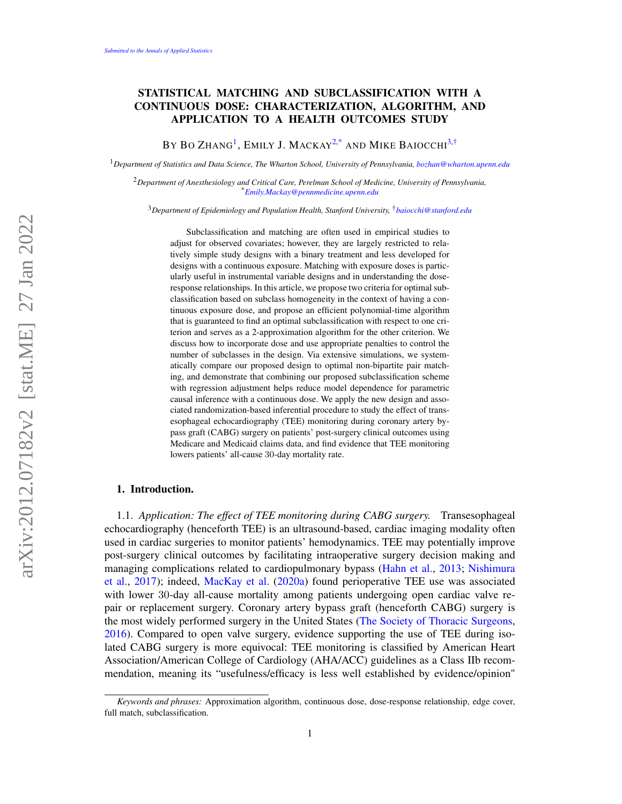# STATISTICAL MATCHING AND SUBCLASSIFICATION WITH A CONTINUOUS DOSE: CHARACTERIZATION, ALGORITHM, AND APPLICATION TO A HEALTH OUTCOMES STUDY

BY BO ZHANG<sup>[1](#page-0-0)</sup>, EMILY J. MACKAY<sup>[2,](#page-0-1)[\\*](#page-0-2)</sup> and Mike Baiocchi<sup>[3](#page-0-3)[,†](#page-0-4)</sup>

<span id="page-0-0"></span><sup>1</sup>*Department of Statistics and Data Science, The Wharton School, University of Pennsylvania, [bozhan@wharton.upenn.edu](mailto:bozhan@wharton.upenn.edu)*

<span id="page-0-1"></span><sup>2</sup>*Department of Anesthesiology and Critical Care, Perelman School of Medicine, University of Pennsylvania,* \**[Emily.Mackay@pennmedicine.upenn.edu](mailto:Emily.Mackay@pennmedicine.upenn.edu)*

<span id="page-0-3"></span><sup>3</sup>*Department of Epidemiology and Population Health, Stanford University,* †*[baiocchi@stanford.edu](mailto:baiocchi@stanford.edu)*

<span id="page-0-4"></span><span id="page-0-2"></span>Subclassification and matching are often used in empirical studies to adjust for observed covariates; however, they are largely restricted to relatively simple study designs with a binary treatment and less developed for designs with a continuous exposure. Matching with exposure doses is particularly useful in instrumental variable designs and in understanding the doseresponse relationships. In this article, we propose two criteria for optimal subclassification based on subclass homogeneity in the context of having a continuous exposure dose, and propose an efficient polynomial-time algorithm that is guaranteed to find an optimal subclassification with respect to one criterion and serves as a 2-approximation algorithm for the other criterion. We discuss how to incorporate dose and use appropriate penalties to control the number of subclasses in the design. Via extensive simulations, we systematically compare our proposed design to optimal non-bipartite pair matching, and demonstrate that combining our proposed subclassification scheme with regression adjustment helps reduce model dependence for parametric causal inference with a continuous dose. We apply the new design and associated randomization-based inferential procedure to study the effect of transesophageal echocardiography (TEE) monitoring during coronary artery bypass graft (CABG) surgery on patients' post-surgery clinical outcomes using Medicare and Medicaid claims data, and find evidence that TEE monitoring lowers patients' all-cause 30-day mortality rate.

### 1. Introduction.

1.1. *Application: The effect of TEE monitoring during CABG surgery.* Transesophageal echocardiography (henceforth TEE) is an ultrasound-based, cardiac imaging modality often used in cardiac surgeries to monitor patients' hemodynamics. TEE may potentially improve post-surgery clinical outcomes by facilitating intraoperative surgery decision making and managing complications related to cardiopulmonary bypass [\(Hahn et al.,](#page-19-0) [2013;](#page-19-0) [Nishimura](#page-20-0) [et al.,](#page-20-0) [2017\)](#page-20-0); indeed, [MacKay et al.](#page-20-1) [\(2020a\)](#page-20-1) found perioperative TEE use was associated with lower 30-day all-cause mortality among patients undergoing open cardiac valve repair or replacement surgery. Coronary artery bypass graft (henceforth CABG) surgery is the most widely performed surgery in the United States [\(The Society of Thoracic Surgeons,](#page-20-2) [2016\)](#page-20-2). Compared to open valve surgery, evidence supporting the use of TEE during isolated CABG surgery is more equivocal: TEE monitoring is classified by American Heart Association/American College of Cardiology (AHA/ACC) guidelines as a Class IIb recommendation, meaning its "usefulness/efficacy is less well established by evidence/opinion"

*Keywords and phrases:* Approximation algorithm, continuous dose, dose-response relationship, edge cover, full match, subclassification.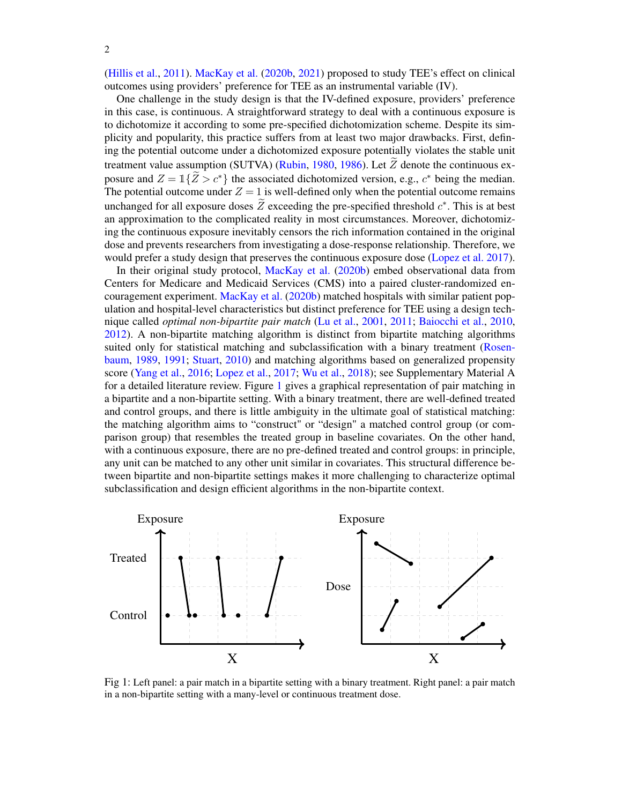[\(Hillis et al.,](#page-20-3) [2011\)](#page-20-3). [MacKay et al.](#page-20-4) [\(2020b,](#page-20-4) [2021\)](#page-20-5) proposed to study TEE's effect on clinical outcomes using providers' preference for TEE as an instrumental variable (IV).

One challenge in the study design is that the IV-defined exposure, providers' preference in this case, is continuous. A straightforward strategy to deal with a continuous exposure is to dichotomize it according to some pre-specified dichotomization scheme. Despite its simplicity and popularity, this practice suffers from at least two major drawbacks. First, defining the potential outcome under a dichotomized exposure potentially violates the stable unit treatment value assumption (SUTVA) [\(Rubin,](#page-20-6) [1980,](#page-20-6) [1986\)](#page-20-7). Let  $\tilde{Z}$  denote the continuous exposure and  $Z = \mathbb{I}\{\widetilde{Z} > c^*\}$  the associated dichotomized version, e.g.,  $c^*$  being the median. The potential outcome under  $Z = 1$  is well-defined only when the potential outcome remains unchanged for all exposure doses  $\tilde{Z}$  exceeding the pre-specified threshold  $c^*$ . This is at best an approximation to the complicated reality in most circumstances. Moreover, dichotomizing the continuous exposure inevitably censors the rich information contained in the original dose and prevents researchers from investigating a dose-response relationship. Therefore, we would prefer a study design that preserves the continuous exposure dose [\(Lopez et al.](#page-20-8) [2017\)](#page-20-8).

In their original study protocol, [MacKay et al.](#page-20-4) [\(2020b\)](#page-20-4) embed observational data from Centers for Medicare and Medicaid Services (CMS) into a paired cluster-randomized encouragement experiment. [MacKay et al.](#page-20-4) [\(2020b\)](#page-20-4) matched hospitals with similar patient population and hospital-level characteristics but distinct preference for TEE using a design technique called *optimal non-bipartite pair match* [\(Lu et al.,](#page-20-9) [2001,](#page-20-9) [2011;](#page-20-10) [Baiocchi et al.,](#page-19-1) [2010,](#page-19-1) [2012\)](#page-19-2). A non-bipartite matching algorithm is distinct from bipartite matching algorithms suited only for statistical matching and subclassification with a binary treatment [\(Rosen](#page-20-11)[baum,](#page-20-11) [1989,](#page-20-11) [1991;](#page-20-12) [Stuart,](#page-20-13) [2010\)](#page-20-13) and matching algorithms based on generalized propensity score [\(Yang et al.,](#page-21-0) [2016;](#page-21-0) [Lopez et al.,](#page-20-8) [2017;](#page-20-8) [Wu et al.,](#page-21-1) [2018\)](#page-21-1); see Supplementary Material A for a detailed literature review. Figure [1](#page-1-0) gives a graphical representation of pair matching in a bipartite and a non-bipartite setting. With a binary treatment, there are well-defined treated and control groups, and there is little ambiguity in the ultimate goal of statistical matching: the matching algorithm aims to "construct" or "design" a matched control group (or comparison group) that resembles the treated group in baseline covariates. On the other hand, with a continuous exposure, there are no pre-defined treated and control groups: in principle, any unit can be matched to any other unit similar in covariates. This structural difference between bipartite and non-bipartite settings makes it more challenging to characterize optimal subclassification and design efficient algorithms in the non-bipartite context.

<span id="page-1-0"></span>

Fig 1: Left panel: a pair match in a bipartite setting with a binary treatment. Right panel: a pair match in a non-bipartite setting with a many-level or continuous treatment dose.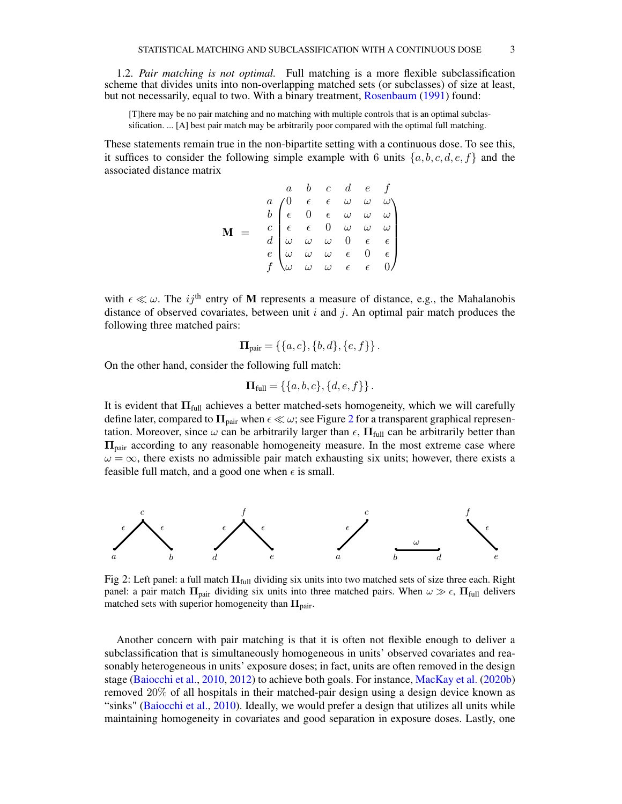1.2. *Pair matching is not optimal.* Full matching is a more flexible subclassification scheme that divides units into non-overlapping matched sets (or subclasses) of size at least, but not necessarily, equal to two. With a binary treatment, [Rosenbaum](#page-20-12) [\(1991\)](#page-20-12) found:

[T]here may be no pair matching and no matching with multiple controls that is an optimal subclassification. ... [A] best pair match may be arbitrarily poor compared with the optimal full matching.

These statements remain true in the non-bipartite setting with a continuous dose. To see this, it suffices to consider the following simple example with 6 units  $\{a, b, c, d, e, f\}$  and the associated distance matrix

$$
\mathbf{M} = \begin{pmatrix}\n a & b & c & d & e & f \\
a & 0 & \epsilon & \epsilon & \omega & \omega & \omega \\
b & \epsilon & 0 & \epsilon & \omega & \omega & \omega \\
\epsilon & \epsilon & 0 & \omega & \omega & \omega & \omega \\
d & \omega & \omega & \omega & 0 & \epsilon & \epsilon \\
e & \omega & \omega & \omega & \epsilon & 0 & \epsilon \\
f & \omega & \omega & \omega & \epsilon & \epsilon & 0\n \end{pmatrix}
$$

with  $\epsilon \ll \omega$ . The ij<sup>th</sup> entry of M represents a measure of distance, e.g., the Mahalanobis distance of observed covariates, between unit  $i$  and  $j$ . An optimal pair match produces the following three matched pairs:

$$
\mathbf{\Pi}_{pair} = \{ \{a, c\}, \{b, d\}, \{e, f\} \}.
$$

On the other hand, consider the following full match:

$$
\mathbf{\Pi}_{\text{full}} = \{ \{a, b, c\}, \{d, e, f\} \}.
$$

It is evident that  $\Pi_{full}$  achieves a better matched-sets homogeneity, which we will carefully define later, compared to  $\Pi_{\text{pair}}$  when  $\epsilon \ll \omega$ ; see Figure [2](#page-2-0) for a transparent graphical representation. Moreover, since  $\omega$  can be arbitrarily larger than  $\epsilon$ ,  $\Pi_{full}$  can be arbitrarily better than  $\Pi_{\text{pair}}$  according to any reasonable homogeneity measure. In the most extreme case where  $\omega = \infty$ , there exists no admissible pair match exhausting six units; however, there exists a feasible full match, and a good one when  $\epsilon$  is small.

<span id="page-2-0"></span>

Fig 2: Left panel: a full match  $\Pi_{\text{full}}$  dividing six units into two matched sets of size three each. Right panel: a pair match  $\Pi_{\text{pair}}$  dividing six units into three matched pairs. When  $\omega \gg \epsilon$ ,  $\Pi_{\text{full}}$  delivers matched sets with superior homogeneity than  $\Pi_{\text{pair}}$ .

Another concern with pair matching is that it is often not flexible enough to deliver a subclassification that is simultaneously homogeneous in units' observed covariates and reasonably heterogeneous in units' exposure doses; in fact, units are often removed in the design stage [\(Baiocchi et al.,](#page-19-1) [2010,](#page-19-1) [2012\)](#page-19-2) to achieve both goals. For instance, [MacKay et al.](#page-20-4) [\(2020b\)](#page-20-4) removed 20% of all hospitals in their matched-pair design using a design device known as "sinks" [\(Baiocchi et al.,](#page-19-1) [2010\)](#page-19-1). Ideally, we would prefer a design that utilizes all units while maintaining homogeneity in covariates and good separation in exposure doses. Lastly, one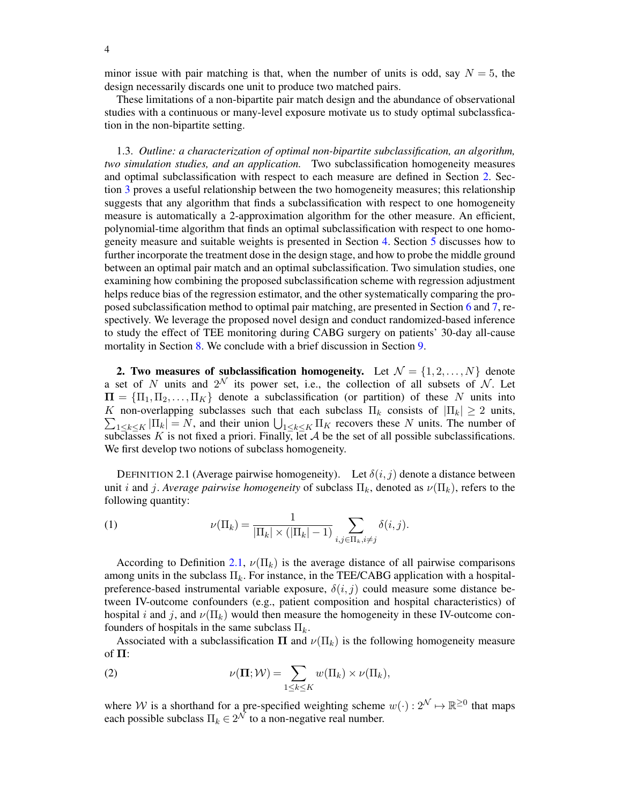minor issue with pair matching is that, when the number of units is odd, say  $N = 5$ , the design necessarily discards one unit to produce two matched pairs.

These limitations of a non-bipartite pair match design and the abundance of observational studies with a continuous or many-level exposure motivate us to study optimal subclassfication in the non-bipartite setting.

1.3. *Outline: a characterization of optimal non-bipartite subclassification, an algorithm, two simulation studies, and an application.* Two subclassification homogeneity measures and optimal subclassification with respect to each measure are defined in Section [2.](#page-3-0) Section [3](#page-4-0) proves a useful relationship between the two homogeneity measures; this relationship suggests that any algorithm that finds a subclassification with respect to one homogeneity measure is automatically a 2-approximation algorithm for the other measure. An efficient, polynomial-time algorithm that finds an optimal subclassification with respect to one homogeneity measure and suitable weights is presented in Section [4.](#page-6-0) Section [5](#page-7-0) discusses how to further incorporate the treatment dose in the design stage, and how to probe the middle ground between an optimal pair match and an optimal subclassification. Two simulation studies, one examining how combining the proposed subclassification scheme with regression adjustment helps reduce bias of the regression estimator, and the other systematically comparing the proposed subclassification method to optimal pair matching, are presented in Section [6](#page-10-0) and [7,](#page-11-0) respectively. We leverage the proposed novel design and conduct randomized-based inference to study the effect of TEE monitoring during CABG surgery on patients' 30-day all-cause mortality in Section [8.](#page-14-0) We conclude with a brief discussion in Section [9.](#page-18-0)

<span id="page-3-0"></span>2. Two measures of subclassification homogeneity. Let  $\mathcal{N} = \{1, 2, ..., N\}$  denote a set of N units and  $2^N$  its power set, i.e., the collection of all subsets of N. Let  $\Pi = {\Pi_1, \Pi_2, \ldots, \Pi_K}$  denote a subclassification (or partition) of these N units into K non-overlapping subclasses such that each subclass  $\Pi_k$  consists of  $|\Pi_k| \geq 2$  units,  $\sum_{1 \leq k \leq K} |\Pi_k| = N$ , and their union  $\bigcup_{1 \leq k \leq K} \Pi_K$  recovers these N units. The number of subclasses K is not fixed a priori. Finally, let A be the set of all possible subclassifications. We first develop two notions of subclass homogeneity.

<span id="page-3-1"></span>DEFINITION 2.1 (Average pairwise homogeneity). Let  $\delta(i, j)$  denote a distance between unit i and j. *Average pairwise homogeneity* of subclass  $\Pi_k$ , denoted as  $\nu(\Pi_k)$ , refers to the following quantity:

(1) 
$$
\nu(\Pi_k) = \frac{1}{|\Pi_k| \times (|\Pi_k| - 1)} \sum_{i,j \in \Pi_k, i \neq j} \delta(i,j).
$$

According to Definition [2.1,](#page-3-1)  $\nu(\Pi_k)$  is the average distance of all pairwise comparisons among units in the subclass  $\Pi_k$ . For instance, in the TEE/CABG application with a hospitalpreference-based instrumental variable exposure,  $\delta(i, j)$  could measure some distance between IV-outcome confounders (e.g., patient composition and hospital characteristics) of hospital i and j, and  $\nu(\Pi_k)$  would then measure the homogeneity in these IV-outcome confounders of hospitals in the same subclass  $\Pi_k$ .

Associated with a subclassification  $\Pi$  and  $\nu(\Pi_k)$  is the following homogeneity measure of  $\Pi$ :

(2) 
$$
\nu(\Pi; \mathcal{W}) = \sum_{1 \leq k \leq K} w(\Pi_k) \times \nu(\Pi_k),
$$

where W is a shorthand for a pre-specified weighting scheme  $w(\cdot): 2^{\mathcal{N}} \mapsto \mathbb{R}^{\geq 0}$  that maps each possible subclass  $\Pi_k \in 2^{\mathcal{N}}$  to a non-negative real number.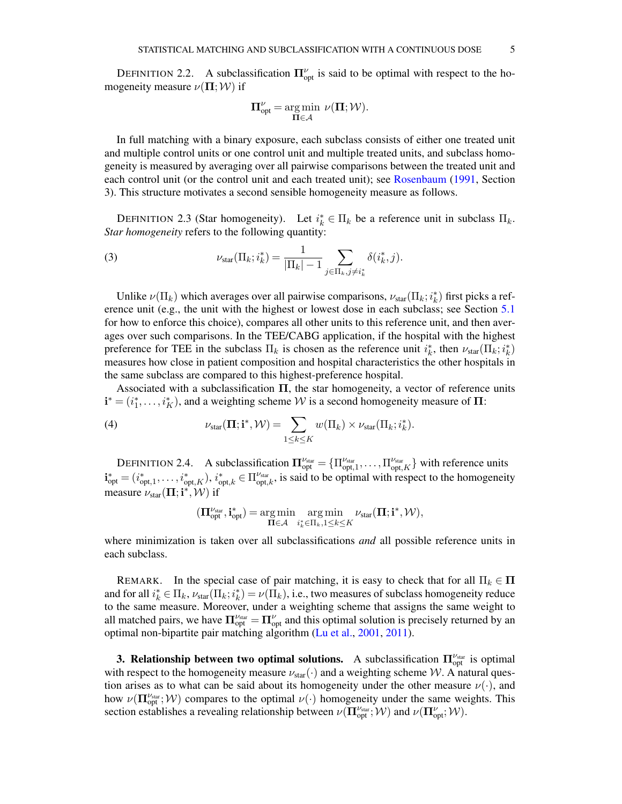<span id="page-4-1"></span>DEFINITION 2.2. A subclassification  $\Pi_{\text{opt}}^{\nu}$  is said to be optimal with respect to the homogeneity measure  $\nu(\mathbf{\Pi}; \mathcal{W})$  if

$$
\Pi_{opt}^{\nu} = \underset{\Pi \in \mathcal{A}}{\arg \min} \ \nu(\Pi; \mathcal{W}).
$$

In full matching with a binary exposure, each subclass consists of either one treated unit and multiple control units or one control unit and multiple treated units, and subclass homogeneity is measured by averaging over all pairwise comparisons between the treated unit and each control unit (or the control unit and each treated unit); see [Rosenbaum](#page-20-12) [\(1991,](#page-20-12) Section 3). This structure motivates a second sensible homogeneity measure as follows.

DEFINITION 2.3 (Star homogeneity). Let  $i_k^* \in \Pi_k$  be a reference unit in subclass  $\Pi_k$ . *Star homogeneity* refers to the following quantity:

(3) 
$$
\nu_{\text{star}}(\Pi_k; i_k^*) = \frac{1}{|\Pi_k| - 1} \sum_{j \in \Pi_k, j \neq i_k^*} \delta(i_k^*, j).
$$

Unlike  $\nu(\Pi_k)$  which averages over all pairwise comparisons,  $\nu_{star}(\Pi_k; i_k^*)$  first picks a reference unit (e.g., the unit with the highest or lowest dose in each subclass; see Section [5.1](#page-7-1) for how to enforce this choice), compares all other units to this reference unit, and then averages over such comparisons. In the TEE/CABG application, if the hospital with the highest preference for TEE in the subclass  $\Pi_k$  is chosen as the reference unit  $i_k^*$ , then  $\nu_{star}(\Pi_k; i_k^*)$ measures how close in patient composition and hospital characteristics the other hospitals in the same subclass are compared to this highest-preference hospital.

Associated with a subclassification  $\Pi$ , the star homogeneity, a vector of reference units  $\mathbf{i}^* = (i_1^*, \dots, i_K^*)$ , and a weighting scheme W is a second homogeneity measure of  $\Pi$ :

(4) 
$$
\nu_{\text{star}}(\Pi; \mathbf{i}^*, \mathcal{W}) = \sum_{1 \leq k \leq K} w(\Pi_k) \times \nu_{\text{star}}(\Pi_k; i_k^*).
$$

<span id="page-4-2"></span>DEFINITION 2.4. A subclassification  $\Pi_{opt}^{\nu_{star}} = {\Pi_{opt,1}^{\nu_{star}}}, \dots, \Pi_{opt,K}^{\nu_{star}}$  with reference units  $\mathbf{i}_{\text{opt}}^* = (i_{\text{opt},1}^*, \dots, i_{\text{opt},K}^*)$ ,  $i_{\text{opt},k}^* \in \Pi_{\text{opt},k}^{\nu_{\text{star}}}$ , is said to be optimal with respect to the homogeneity measure  $\nu_{\text{star}}(\boldsymbol{\Pi}; \mathbf{i}^*, \mathcal{W})$  if

$$
(\boldsymbol{\Pi}_{opt}^{\nu_{star}}, \mathbf{i}_{opt}^*) = \operatornamewithlimits{arg\,min}_{\boldsymbol{\Pi} \in \mathcal{A}} \operatornamewithlimits{arg\,min}_{i_k^* \in \Pi_k, 1 \leq k \leq K} \nu_{star}(\boldsymbol{\Pi}; \mathbf{i}^*, \mathcal{W}),
$$

where minimization is taken over all subclassifications *and* all possible reference units in each subclass.

REMARK. In the special case of pair matching, it is easy to check that for all  $\Pi_k \in \Pi$ and for all  $i_k^* \in \Pi_k$ ,  $\nu_{star}(\Pi_k; i_k^*) = \nu(\Pi_k)$ , i.e., two measures of subclass homogeneity reduce to the same measure. Moreover, under a weighting scheme that assigns the same weight to all matched pairs, we have  $\Pi_{opt}^{\nu_{\text{star}}} = \Pi_{opt}^{\nu}$  and this optimal solution is precisely returned by an optimal non-bipartite pair matching algorithm [\(Lu et al.,](#page-20-9) [2001,](#page-20-9) [2011\)](#page-20-10).

<span id="page-4-0"></span>**3. Relationship between two optimal solutions.** A subclassification  $\Pi_{opt}^{\nu_{star}}$  is optimal with respect to the homogeneity measure  $\nu_{star}(\cdot)$  and a weighting scheme W. A natural question arises as to what can be said about its homogeneity under the other measure  $\nu(\cdot)$ , and how  $\nu(\mathbf{\Pi}_{opt}^{\nu_{\text{star}}}; \mathcal{W})$  compares to the optimal  $\nu(\cdot)$  homogeneity under the same weights. This section establishes a revealing relationship between  $\nu(\mathbf{\Pi}_{\text{opt}}^{\nu_{\text{star}}};W)$  and  $\nu(\mathbf{\Pi}_{\text{opt}}^{\nu};W)$ .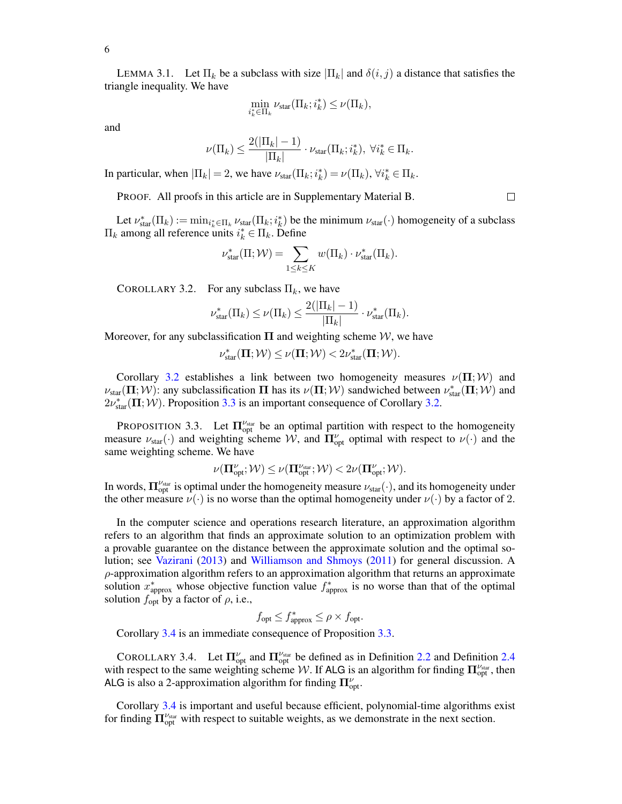6

<span id="page-5-3"></span>LEMMA 3.1. Let  $\Pi_k$  be a subclass with size  $|\Pi_k|$  and  $\delta(i, j)$  a distance that satisfies the triangle inequality. We have

$$
\min_{i_k^* \in \Pi_k} \nu_{\text{star}}(\Pi_k; i_k^*) \le \nu(\Pi_k),
$$

and

$$
\nu(\Pi_k) \le \frac{2(|\Pi_k|-1)}{|\Pi_k|} \cdot \nu_{\text{star}}(\Pi_k; i_k^*), \ \forall i_k^* \in \Pi_k.
$$

In particular, when  $|\Pi_k| = 2$ , we have  $\nu_{star}(\Pi_k; i_k^*) = \nu(\Pi_k)$ ,  $\forall i_k^* \in \Pi_k$ .

PROOF. All proofs in this article are in Supplementary Material B.

Let  $\nu_{\text{star}}^*(\Pi_k) := \min_{i_k^* \in \Pi_k} \nu_{\text{star}}(\Pi_k; i_k^*)$  be the minimum  $\nu_{\text{star}}(\cdot)$  homogeneity of a subclass  $\Pi_k$  among all reference units  $i_k^* \in \Pi_k$ . Define

$$
\nu_{\text{star}}^*(\Pi; \mathcal{W}) = \sum_{1 \leq k \leq K} w(\Pi_k) \cdot \nu_{\text{star}}^*(\Pi_k).
$$

<span id="page-5-0"></span>COROLLARY 3.2. For any subclass  $\Pi_k$ , we have

$$
\nu_{\text{star}}^*(\Pi_k) \leq \nu(\Pi_k) \leq \frac{2(|\Pi_k|-1)}{|\Pi_k|} \cdot \nu_{\text{star}}^*(\Pi_k).
$$

Moreover, for any subclassification  $\Pi$  and weighting scheme W, we have

$$
\nu^*_{star}(\boldsymbol{\Pi}; \mathcal{W}) \leq \nu(\boldsymbol{\Pi}; \mathcal{W}) < 2 \nu^*_{star}(\boldsymbol{\Pi}; \mathcal{W}).
$$

Corollary [3.2](#page-5-0) establishes a link between two homogeneity measures  $\nu(\mathbf{\Pi};W)$  and  $\nu_{\text{star}}(\Pi; \mathcal{W})$ : any subclassification  $\Pi$  has its  $\nu(\Pi; \mathcal{W})$  sandwiched between  $\nu_{\text{star}}^*(\Pi; \mathcal{W})$  and  $2\nu_{\text{star}}^*(\mathbf{\Pi};\mathcal{W})$ . Proposition [3.3](#page-5-1) is an important consequence of Corollary [3.2.](#page-5-0)

<span id="page-5-1"></span>PROPOSITION 3.3. Let  $\Pi_{opt}^{\nu_{star}}$  be an optimal partition with respect to the homogeneity measure  $\nu_{\text{star}}(\cdot)$  and weighting scheme  $\mathcal{W}$ , and  $\mathbf{\Pi}_{\text{opt}}^{\nu}$  optimal with respect to  $\nu(\cdot)$  and the same weighting scheme. We have

$$
\nu(\mathbf{\Pi}_{\mathrm{opt}}^\nu;\mathcal{W}) \leq \nu(\mathbf{\Pi}_{\mathrm{opt}}^{\nu_{\mathrm{star}}};\mathcal{W}) < 2 \nu(\mathbf{\Pi}_{\mathrm{opt}}^\nu;\mathcal{W}).
$$

In words,  $\Pi_{opt}^{\nu_{star}}$  is optimal under the homogeneity measure  $\nu_{star}(\cdot)$ , and its homogeneity under the other measure  $\nu(\cdot)$  is no worse than the optimal homogeneity under  $\nu(\cdot)$  by a factor of 2.

In the computer science and operations research literature, an approximation algorithm refers to an algorithm that finds an approximate solution to an optimization problem with a provable guarantee on the distance between the approximate solution and the optimal solution; see [Vazirani](#page-20-14) [\(2013\)](#page-20-14) and [Williamson and Shmoys](#page-20-15) [\(2011\)](#page-20-15) for general discussion. A  $\rho$ -approximation algorithm refers to an approximation algorithm that returns an approximate solution  $x^*_{\text{approx}}$  whose objective function value  $f^*_{\text{approx}}$  is no worse than that of the optimal solution  $f_{\text{opt}}$  by a factor of  $\rho$ , i.e.,

$$
f_{\text{opt}} \le f_{\text{approx}}^* \le \rho \times f_{\text{opt}}.
$$

Corollary [3.4](#page-5-2) is an immediate consequence of Proposition [3.3.](#page-5-1)

<span id="page-5-2"></span>COROLLARY 3.4. Let  $\Pi_{opt}^{\nu}$  and  $\Pi_{opt}^{\nu_{star}}$  be defined as in Definition [2.2](#page-4-1) and Definition [2.4](#page-4-2) with respect to the same weighting scheme W. If ALG is an algorithm for finding  $\Pi_{opt}^{\nu_{star}}$ , then ALG is also a 2-approximation algorithm for finding  $\Pi_{\text{opt}}^{\nu}$ .

Corollary [3.4](#page-5-2) is important and useful because efficient, polynomial-time algorithms exist for finding  $\Pi_{\text{opt}}^{\nu_{\text{star}}}$  with respect to suitable weights, as we demonstrate in the next section.

 $\Box$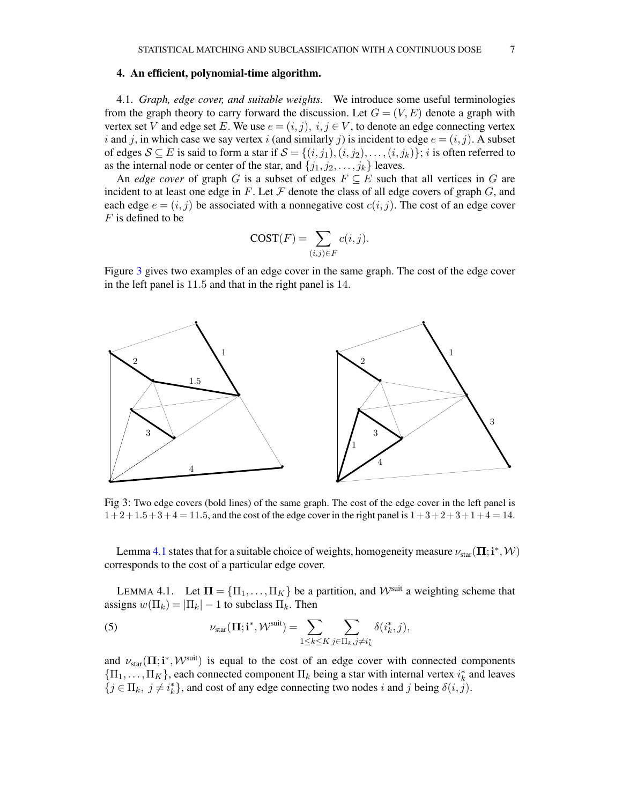### <span id="page-6-0"></span>4. An efficient, polynomial-time algorithm.

4.1. *Graph, edge cover, and suitable weights.* We introduce some useful terminologies from the graph theory to carry forward the discussion. Let  $G = (V, E)$  denote a graph with vertex set V and edge set E. We use  $e = (i, j)$ ,  $i, j \in V$ , to denote an edge connecting vertex i and j, in which case we say vertex i (and similarly j) is incident to edge  $e = (i, j)$ . A subset of edges  $S \subseteq E$  is said to form a star if  $S = \{(i, j_1), (i, j_2), \dots, (i, j_k)\}\; i$  is often referred to as the internal node or center of the star, and  $\{j_1, j_2, \ldots, j_k\}$  leaves.

An *edge cover* of graph G is a subset of edges  $F \subseteq E$  such that all vertices in G are incident to at least one edge in F. Let  $\mathcal F$  denote the class of all edge covers of graph  $G$ , and each edge  $e = (i, j)$  be associated with a nonnegative cost  $c(i, j)$ . The cost of an edge cover  $F$  is defined to be

$$
COST(F) = \sum_{(i,j)\in F} c(i,j).
$$

Figure [3](#page-6-1) gives two examples of an edge cover in the same graph. The cost of the edge cover in the left panel is 11.5 and that in the right panel is 14.

<span id="page-6-1"></span>

Fig 3: Two edge covers (bold lines) of the same graph. The cost of the edge cover in the left panel is  $1+2+1.5+3+4=11.5$ , and the cost of the edge cover in the right panel is  $1+3+2+3+1+4=14$ .

Lemma [4.1](#page-6-2) states that for a suitable choice of weights, homogeneity measure  $\nu_{star}(\mathbf{\Pi};\mathbf{i}^*,\mathcal{W})$ corresponds to the cost of a particular edge cover.

<span id="page-6-2"></span>LEMMA 4.1. Let  $\Pi = {\{\Pi_1, \dots, \Pi_K\}}$  be a partition, and  $W^{\text{suit}}$  a weighting scheme that assigns  $w(\Pi_k) = |\Pi_k| - 1$  to subclass  $\Pi_k$ . Then

(5) 
$$
\nu_{\text{star}}(\Pi; \mathbf{i}^*, \mathcal{W}^{\text{suit}}) = \sum_{1 \leq k \leq K} \sum_{j \in \Pi_k, j \neq i^*_k} \delta(i^*_k, j),
$$

and  $\nu_{star}(\Pi; i^*, \mathcal{W}^{suit})$  is equal to the cost of an edge cover with connected components  ${\{\Pi_1, \ldots, \Pi_K\}}$ , each connected component  $\Pi_k$  being a star with internal vertex  $i_k^*$  and leaves  $\{j \in \Pi_k, j \neq i_k^*\}$ , and cost of any edge connecting two nodes i and j being  $\delta(i, j)$ .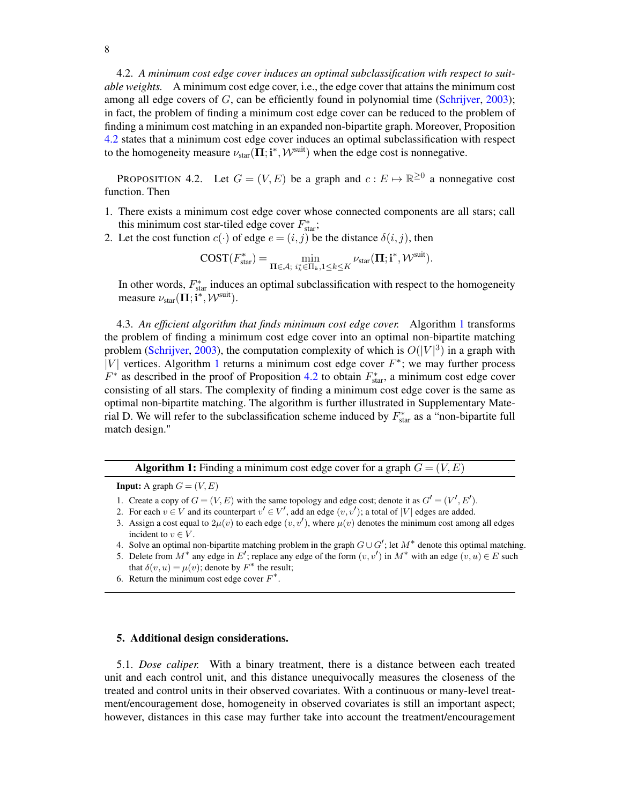4.2. *A minimum cost edge cover induces an optimal subclassification with respect to suitable weights.* A minimum cost edge cover, i.e., the edge cover that attains the minimum cost among all edge covers of  $G$ , can be efficiently found in polynomial time [\(Schrijver,](#page-20-16) [2003\)](#page-20-16); in fact, the problem of finding a minimum cost edge cover can be reduced to the problem of finding a minimum cost matching in an expanded non-bipartite graph. Moreover, Proposition [4.2](#page-7-2) states that a minimum cost edge cover induces an optimal subclassification with respect to the homogeneity measure  $\nu_{star}(\mathbf{\Pi};\mathbf{i}^*,\mathcal{W}^{\text{suit}})$  when the edge cost is nonnegative.

<span id="page-7-2"></span>PROPOSITION 4.2. Let  $G = (V, E)$  be a graph and  $c : E \mapsto \mathbb{R}^{\geq 0}$  a nonnegative cost function. Then

- 1. There exists a minimum cost edge cover whose connected components are all stars; call this minimum cost star-tiled edge cover  $F_{\text{star}}^*$ ;
- 2. Let the cost function  $c(\cdot)$  of edge  $e = (i, j)$  be the distance  $\delta(i, j)$ , then

$$
\text{COST}(F_{\text{star}}^*) = \min_{\Pi \in \mathcal{A}; \ i_k^* \in \Pi_k, 1 \leq k \leq K} \nu_{\text{star}}(\Pi; \mathbf{i}^*, \mathcal{W}^{\text{suit}}).
$$

In other words,  $F_{\text{star}}^*$  induces an optimal subclassification with respect to the homogeneity measure  $\nu_{\text{star}}(\boldsymbol{\Pi}; \mathbf{i}^*, \mathcal{W}^{\text{suit}})$ .

4.3. *An efficient algorithm that finds minimum cost edge cover.* Algorithm [1](#page-7-3) transforms the problem of finding a minimum cost edge cover into an optimal non-bipartite matching problem [\(Schrijver,](#page-20-16) [2003\)](#page-20-16), the computation complexity of which is  $O(|V|^3)$  in a graph with |V| vertices. Algorithm [1](#page-7-3) returns a minimum cost edge cover  $F^*$ ; we may further process  $F^*$  as described in the proof of Proposition [4.2](#page-7-2) to obtain  $F^*_{\text{star}}$ , a minimum cost edge cover consisting of all stars. The complexity of finding a minimum cost edge cover is the same as optimal non-bipartite matching. The algorithm is further illustrated in Supplementary Material D. We will refer to the subclassification scheme induced by  $F_{\text{star}}^*$  as a "non-bipartite full match design."

**Algorithm 1:** Finding a minimum cost edge cover for a graph  $G = (V, E)$ 

<span id="page-7-3"></span>**Input:** A graph  $G = (V, E)$ 

- 1. Create a copy of  $G = (V, E)$  with the same topology and edge cost; denote it as  $G' = (V', E')$ .
- 2. For each  $v \in V$  and its counterpart  $v' \in V'$ , add an edge  $(v, v')$ ; a total of  $|V|$  edges are added.
- 3. Assign a cost equal to  $2\mu(v)$  to each edge  $(v, v')$ , where  $\mu(v)$  denotes the minimum cost among all edges incident to  $v \in V$ .
- 4. Solve an optimal non-bipartite matching problem in the graph  $G \cup G'$ ; let  $M^*$  denote this optimal matching.
- 5. Delete from  $M^*$  any edge in E'; replace any edge of the form  $(v, v')$  in  $M^*$  with an edge  $(v, u) \in E$  such
- that  $\delta(v, u) = \mu(v)$ ; denote by  $F^*$  the result;
- 6. Return the minimum cost edge cover  $F^*$ .

### <span id="page-7-0"></span>5. Additional design considerations.

<span id="page-7-1"></span>5.1. *Dose caliper.* With a binary treatment, there is a distance between each treated unit and each control unit, and this distance unequivocally measures the closeness of the treated and control units in their observed covariates. With a continuous or many-level treatment/encouragement dose, homogeneity in observed covariates is still an important aspect; however, distances in this case may further take into account the treatment/encouragement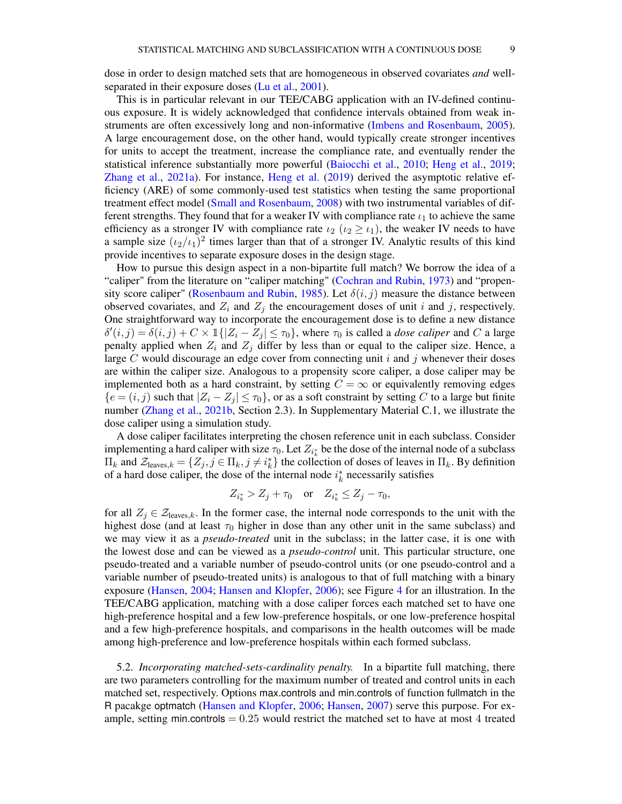dose in order to design matched sets that are homogeneous in observed covariates *and* wellseparated in their exposure doses [\(Lu et al.,](#page-20-9) [2001\)](#page-20-9).

This is in particular relevant in our TEE/CABG application with an IV-defined continuous exposure. It is widely acknowledged that confidence intervals obtained from weak instruments are often excessively long and non-informative [\(Imbens and Rosenbaum,](#page-20-17) [2005\)](#page-20-17). A large encouragement dose, on the other hand, would typically create stronger incentives for units to accept the treatment, increase the compliance rate, and eventually render the statistical inference substantially more powerful [\(Baiocchi et al.,](#page-19-1) [2010;](#page-19-1) [Heng et al.,](#page-19-3) [2019;](#page-19-3) [Zhang et al.,](#page-21-2) [2021a\)](#page-21-2). For instance, [Heng et al.](#page-19-3) [\(2019\)](#page-19-3) derived the asymptotic relative efficiency (ARE) of some commonly-used test statistics when testing the same proportional treatment effect model [\(Small and Rosenbaum,](#page-20-18) [2008\)](#page-20-18) with two instrumental variables of different strengths. They found that for a weaker IV with compliance rate  $\iota_1$  to achieve the same efficiency as a stronger IV with compliance rate  $i_2$  ( $i_2 \geq i_1$ ), the weaker IV needs to have a sample size  $(\iota_2/\iota_1)^2$  times larger than that of a stronger IV. Analytic results of this kind provide incentives to separate exposure doses in the design stage.

How to pursue this design aspect in a non-bipartite full match? We borrow the idea of a "caliper" from the literature on "caliper matching" [\(Cochran and Rubin,](#page-19-4) [1973\)](#page-19-4) and "propen-sity score caliper" [\(Rosenbaum and Rubin,](#page-20-19) [1985\)](#page-20-19). Let  $\delta(i, j)$  measure the distance between observed covariates, and  $Z_i$  and  $Z_j$  the encouragement doses of unit i and j, respectively. One straightforward way to incorporate the encouragement dose is to define a new distance  $\delta'(i,j) = \delta(i,j) + C \times \mathbb{1}\{|Z_i - Z_j| \leq \tau_0\}$ , where  $\tau_0$  is called a *dose caliper* and C a large penalty applied when  $Z_i$  and  $Z_j$  differ by less than or equal to the caliper size. Hence, a large C would discourage an edge cover from connecting unit i and j whenever their doses are within the caliper size. Analogous to a propensity score caliper, a dose caliper may be implemented both as a hard constraint, by setting  $C = \infty$  or equivalently removing edges  ${e = (i, j)}$  such that  $|Z_i - Z_j| \leq \tau_0$ , or as a soft constraint by setting C to a large but finite number [\(Zhang et al.,](#page-21-3) [2021b,](#page-21-3) Section 2.3). In Supplementary Material C.1, we illustrate the dose caliper using a simulation study.

A dose caliper facilitates interpreting the chosen reference unit in each subclass. Consider implementing a hard caliper with size  $\tau_0$ . Let  $Z_{i^*_k}$  be the dose of the internal node of a subclass  $\Pi_k$  and  $\mathcal{Z}_{\text{leaves},k} = \{Z_j, j \in \Pi_k, j \neq i_k^*\}$  the collection of doses of leaves in  $\Pi_k$ . By definition of a hard dose caliper, the dose of the internal node  $i_k^*$  necessarily satisfies

$$
Z_{i_k^*} > Z_j + \tau_0
$$
 or  $Z_{i_k^*} \le Z_j - \tau_0$ ,

for all  $Z_i \in \mathcal{Z}_{\text{leaves},k}$ . In the former case, the internal node corresponds to the unit with the highest dose (and at least  $\tau_0$  higher in dose than any other unit in the same subclass) and we may view it as a *pseudo-treated* unit in the subclass; in the latter case, it is one with the lowest dose and can be viewed as a *pseudo-control* unit. This particular structure, one pseudo-treated and a variable number of pseudo-control units (or one pseudo-control and a variable number of pseudo-treated units) is analogous to that of full matching with a binary exposure [\(Hansen,](#page-19-5) [2004;](#page-19-5) [Hansen and Klopfer,](#page-19-6) [2006\)](#page-19-6); see Figure [4](#page-9-0) for an illustration. In the TEE/CABG application, matching with a dose caliper forces each matched set to have one high-preference hospital and a few low-preference hospitals, or one low-preference hospital and a few high-preference hospitals, and comparisons in the health outcomes will be made among high-preference and low-preference hospitals within each formed subclass.

5.2. *Incorporating matched-sets-cardinality penalty.* In a bipartite full matching, there are two parameters controlling for the maximum number of treated and control units in each matched set, respectively. Options max.controls and min.controls of function fullmatch in the R pacakge optmatch [\(Hansen and Klopfer,](#page-19-6) [2006;](#page-19-6) [Hansen,](#page-19-7) [2007\)](#page-19-7) serve this purpose. For example, setting min.controls  $= 0.25$  would restrict the matched set to have at most 4 treated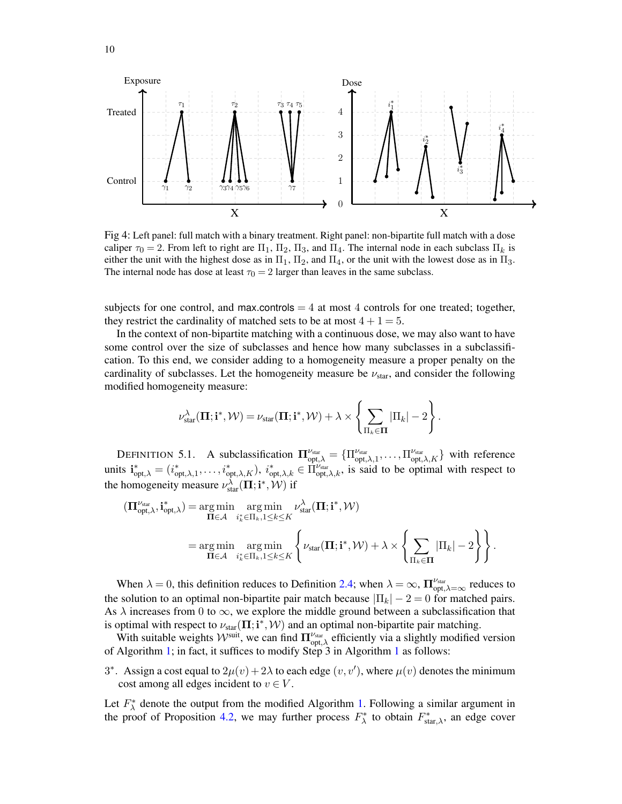<span id="page-9-0"></span>

Fig 4: Left panel: full match with a binary treatment. Right panel: non-bipartite full match with a dose caliper  $\tau_0 = 2$ . From left to right are  $\Pi_1$ ,  $\Pi_2$ ,  $\Pi_3$ , and  $\Pi_4$ . The internal node in each subclass  $\Pi_k$  is either the unit with the highest dose as in  $\Pi_1$ ,  $\Pi_2$ , and  $\Pi_4$ , or the unit with the lowest dose as in  $\Pi_3$ . The internal node has dose at least  $\tau_0 = 2$  larger than leaves in the same subclass.

subjects for one control, and max.controls  $= 4$  at most 4 controls for one treated; together, they restrict the cardinality of matched sets to be at most  $4 + 1 = 5$ .

In the context of non-bipartite matching with a continuous dose, we may also want to have some control over the size of subclasses and hence how many subclasses in a subclassification. To this end, we consider adding to a homogeneity measure a proper penalty on the cardinality of subclasses. Let the homogeneity measure be  $\nu_{star}$ , and consider the following modified homogeneity measure:

$$
\nu_{\mathrm{star}}^{\lambda}(\boldsymbol{\Pi};\mathbf{i}^*,\mathcal{W}) = \nu_{\mathrm{star}}(\boldsymbol{\Pi};\mathbf{i}^*,\mathcal{W}) + \lambda \times \left\{\sum_{\Pi_k \in \boldsymbol{\Pi}} |\Pi_k| - 2\right\}.
$$

DEFINITION 5.1. A subclassification  $\Pi_{\text{opt},\lambda}^{\nu_{\text{star}}} = {\Pi_{\text{opt},\lambda,1}^{\nu_{\text{star}}}, \dots, \Pi_{\text{opt},\lambda,K}^{\nu_{\text{star}}}}$  with reference units  $\mathbf{i}_{\text{opt},\lambda}^* = (i_{\text{opt},\lambda,1}^*, \ldots, i_{\text{opt},\lambda,K}^*), i_{\text{opt},\lambda,k}^* \in \Pi_{\text{opt},\lambda,k}^{\nu_{\text{star}}},$  is said to be optimal with respect to the homogeneity measure  $\nu_{\text{star}}^{\lambda}(\boldsymbol{\Pi};\mathbf{i}^*,\mathcal{W})$  if

$$
\begin{split} (\mathbf{\Pi}_{\text{opt},\lambda}^{\nu_{\text{star}}},\mathbf{i}_{\text{opt},\lambda}^{*}) = & \operatorname*{arg\,min}_{\mathbf{\Pi} \in \mathcal{A}} \operatorname*{arg\,min}_{i_{k}^{*} \in \Pi_{k}, 1 \leq k \leq K} \nu_{\text{star}}^{\lambda}(\mathbf{\Pi};\mathbf{i}^{*},\mathcal{W}) \\ = & \operatorname*{arg\,min}_{\mathbf{\Pi} \in \mathcal{A}} \operatorname*{arg\,min}_{i_{k}^{*} \in \Pi_{k}, 1 \leq k \leq K} \left\{ \nu_{\text{star}}(\mathbf{\Pi};\mathbf{i}^{*},\mathcal{W}) + \lambda \times \left\{ \sum_{\Pi_{k} \in \mathbf{\Pi}} |\Pi_{k}| - 2 \right\} \right\}. \end{split}
$$

When  $\lambda = 0$ , this definition reduces to Definition [2.4;](#page-4-2) when  $\lambda = \infty$ ,  $\prod_{\text{opt},\lambda=\infty}^{\nu_{\text{star}}}$  reduces to the solution to an optimal non-bipartite pair match because  $|\Pi_k| - 2 = 0$  for matched pairs. As  $\lambda$  increases from 0 to  $\infty$ , we explore the middle ground between a subclassification that is optimal with respect to  $\nu_{star}(\Pi; i^*, \mathcal{W})$  and an optimal non-bipartite pair matching.

With suitable weights  $W^{\text{suit}}$ , we can find  $\Pi_{\text{opt},\lambda}^{\nu_{\text{star}}}$  efficiently via a slightly modified version of Algorithm [1;](#page-7-3) in fact, it suffices to modify Step 3 in Algorithm [1](#page-7-3) as follows:

3<sup>\*</sup>. Assign a cost equal to  $2\mu(v) + 2\lambda$  to each edge  $(v, v')$ , where  $\mu(v)$  denotes the minimum cost among all edges incident to  $v \in V$ .

Let  $F_{\lambda}^*$  denote the output from the modified Algorithm [1.](#page-7-3) Following a similar argument in the proof of Proposition [4.2,](#page-7-2) we may further process  $F_{\lambda}^*$  to obtain  $F_{\text{star},\lambda}^*$ , an edge cover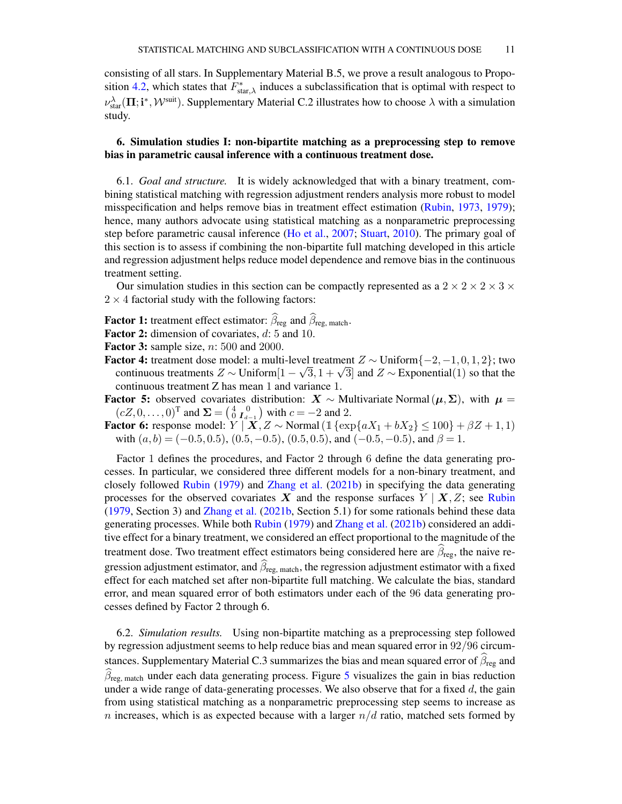consisting of all stars. In Supplementary Material B.5, we prove a result analogous to Propo-sition [4.2,](#page-7-2) which states that  $\overline{F_{\text{star},\lambda}}$  induces a subclassification that is optimal with respect to  $\nu_{\text{star}}^{\lambda}(\Pi; \mathbf{i}^*, \mathcal{W}^{\text{suit}})$ . Supplementary Material C.2 illustrates how to choose  $\lambda$  with a simulation study.

## <span id="page-10-0"></span>6. Simulation studies I: non-bipartite matching as a preprocessing step to remove bias in parametric causal inference with a continuous treatment dose.

6.1. *Goal and structure.* It is widely acknowledged that with a binary treatment, combining statistical matching with regression adjustment renders analysis more robust to model misspecification and helps remove bias in treatment effect estimation [\(Rubin,](#page-20-20) [1973,](#page-20-20) [1979\)](#page-20-21); hence, many authors advocate using statistical matching as a nonparametric preprocessing step before parametric causal inference [\(Ho et al.,](#page-20-22) [2007;](#page-20-22) [Stuart,](#page-20-13) [2010\)](#page-20-13). The primary goal of this section is to assess if combining the non-bipartite full matching developed in this article and regression adjustment helps reduce model dependence and remove bias in the continuous treatment setting.

Our simulation studies in this section can be compactly represented as a  $2 \times 2 \times 2 \times 3 \times 3$  $2 \times 4$  factorial study with the following factors:

- **Factor 1:** treatment effect estimator:  $\widehat{\beta}_{reg}$  and  $\widehat{\beta}_{reg, match}$ .
- Factor 2: dimension of covariates,  $d$ : 5 and 10.

**Factor 3:** sample size,  $n: 500$  and 2000.

- **Factor 4:** treatment dose model: a multi-level treatment  $Z \sim$  Uniform $\{-2, -1, 0, 1, 2\}$ ; two **ctor 4:** treatment dose model: a multi-level treatment  $Z \sim \text{Uniform}\{-2, -1, 0, 1, 2\}$ ; two continuous treatments  $Z \sim \text{Uniform}[1 - \sqrt{3}, 1 + \sqrt{3}]$  and  $Z \sim \text{Exponential}(1)$  so that the continuous treatment Z has mean 1 and variance 1.
- **Factor 5:** observed covariates distribution:  $X \sim$  Multivariate Normal $(\mu, \Sigma)$ , with  $\mu =$  $(cZ, 0, \ldots, 0)^{\text{T}}$  and  $\Sigma = \begin{pmatrix} 4 & 0 \\ 0 & I_{d-1} \end{pmatrix}$  with  $c = -2$  and 2.
- **Factor 6:** response model:  $Y | X, Z \sim \text{Normal}(\mathbb{1}\{\exp\{aX_1 + bX_2\} \le 100\} + \beta Z + 1, 1)$ with  $(a, b) = (-0.5, 0.5), (0.5, -0.5), (0.5, 0.5),$  and  $(-0.5, -0.5),$  and  $\beta = 1$ .

Factor 1 defines the procedures, and Factor 2 through 6 define the data generating processes. In particular, we considered three different models for a non-binary treatment, and closely followed [Rubin](#page-20-21) [\(1979\)](#page-20-21) and [Zhang et al.](#page-21-3) [\(2021b\)](#page-21-3) in specifying the data generating processes for the observed covariates X and the response surfaces  $Y \mid X, Z$ ; see [Rubin](#page-20-21) [\(1979,](#page-20-21) Section 3) and [Zhang et al.](#page-21-3) [\(2021b,](#page-21-3) Section 5.1) for some rationals behind these data generating processes. While both [Rubin](#page-20-21) [\(1979\)](#page-20-21) and [Zhang et al.](#page-21-3) [\(2021b\)](#page-21-3) considered an additive effect for a binary treatment, we considered an effect proportional to the magnitude of the treatment dose. Two treatment effect estimators being considered here are  $\beta_{\text{reg}}$ , the naive regression adjustment estimator, and  $\widehat{\beta}_{\text{reg, match}}$ , the regression adjustment estimator with a fixed effect for each matched set after non-bipartite full matching. We calculate the bias, standard error, and mean squared error of both estimators under each of the 96 data generating processes defined by Factor 2 through 6.

6.2. *Simulation results.* Using non-bipartite matching as a preprocessing step followed by regression adjustment seems to help reduce bias and mean squared error in 92/96 circumstances. Supplementary Material C.3 summarizes the bias and mean squared error of  $\widehat{\beta}_{reg}$  and  $\widehat{\beta}_{\text{reg, match}}$  under each data generating process. Figure [5](#page-11-1) visualizes the gain in bias reduction under a wide range of data-generating processes. We also observe that for a fixed  $d$ , the gain from using statistical matching as a nonparametric preprocessing step seems to increase as n increases, which is as expected because with a larger  $n/d$  ratio, matched sets formed by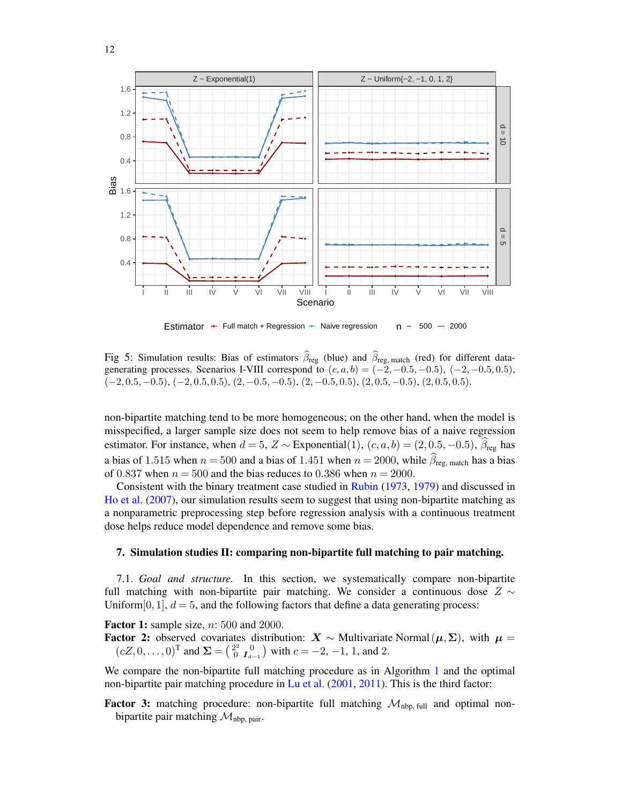<span id="page-11-1"></span>

Estimator  $\div$  Full match + Regression  $\div$  Naive regression n - 500 - 2000

Fig 5: Simulation results: Bias of estimators  $\beta_{\text{reg}}$  (blue) and  $\beta_{\text{reg, match}}$  (red) for different datagenerating processes. Scenarios I-VIII correspond to  $(c, a, b) = (-2, -0.5, -0.5), (-2, -0.5, 0.5)$ ,  $(-2, 0.5, -0.5), (-2, 0.5, 0.5), (2, -0.5, -0.5), (2, -0.5, 0.5), (2, 0.5, -0.5), (2, 0.5, 0.5).$ 

non-bipartite matching tend to be more homogeneous; on the other hand, when the model is misspecified, a larger sample size does not seem to help remove bias of a naive regression estimator. For instance, when  $d = 5$ ,  $Z \sim$  Exponential(1),  $(c, a, b) = (2, 0.5, -0.5)$ ,  $\widehat{\beta}_{reg}$  has a bias of 1.515 when  $n = 500$  and a bias of 1.451 when  $n = 2000$ , while  $\hat{\beta}_{\text{res}}$ , match has a bias of 0.837 when  $n = 500$  and the bias reduces to 0.386 when  $n = 2000$ .

Consistent with the binary treatment case studied in [Rubin](#page-20-20) [\(1973,](#page-20-20) [1979\)](#page-20-21) and discussed in [Ho et al.](#page-20-22) [\(2007\)](#page-20-22), our simulation results seem to suggest that using non-bipartite matching as a nonparametric preprocessing step before regression analysis with a continuous treatment dose helps reduce model dependence and remove some bias.

### <span id="page-11-0"></span>7. Simulation studies II: comparing non-bipartite full matching to pair matching.

7.1. *Goal and structure.* In this section, we systematically compare non-bipartite full matching with non-bipartite pair matching. We consider a continuous dose  $Z \sim$ Uniform  $[0, 1]$ ,  $d = 5$ , and the following factors that define a data generating process:

**Factor 1:** sample size,  $n: 500$  and 2000.

**Factor 2:** observed covariates distribution:  $X \sim$  Multivariate Normal $(\mu, \Sigma)$ , with  $\mu =$  $(cZ, 0, \ldots, 0)^{\text{T}}$  and  $\Sigma = \begin{pmatrix} 2^2 & 0 \\ 0 & I_{d-1} \end{pmatrix}$  with  $c = -2, -1, 1$ , and 2.

We compare the non-bipartite full matching procedure as in Algorithm [1](#page-7-3) and the optimal non-bipartite pair matching procedure in [Lu et al.](#page-20-9) [\(2001,](#page-20-9) [2011\)](#page-20-10). This is the third factor:

**Factor 3:** matching procedure: non-bipartite full matching  $M_{\text{nbp, full}}$  and optimal nonbipartite pair matching  $\mathcal{M}_{\text{nbp, pair}}$ .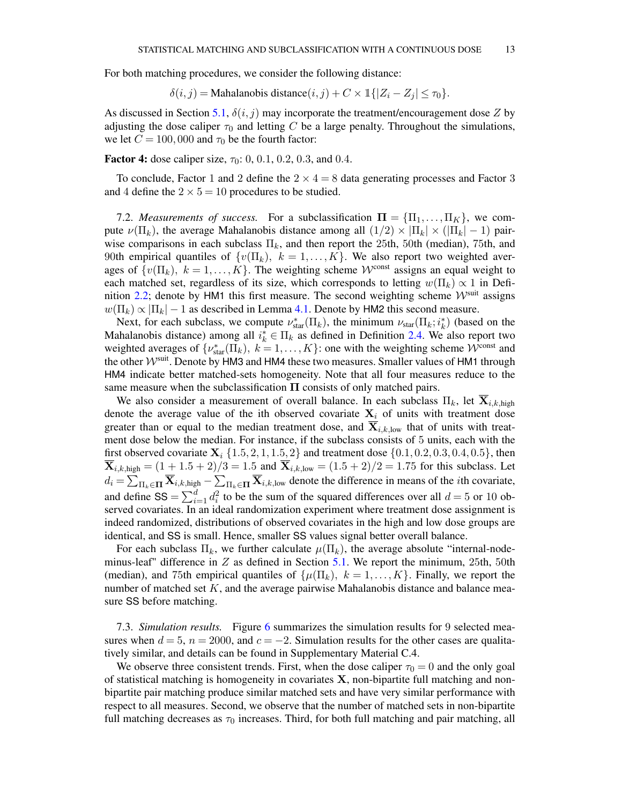For both matching procedures, we consider the following distance:

$$
\delta(i,j) = \text{Mahalanobis distance}(i,j) + C \times \mathbb{1}\{|Z_i - Z_j| \le \tau_0\}.
$$

As discussed in Section [5.1,](#page-7-1)  $\delta(i, j)$  may incorporate the treatment/encouragement dose Z by adjusting the dose caliper  $\tau_0$  and letting C be a large penalty. Throughout the simulations, we let  $C = 100,000$  and  $\tau_0$  be the fourth factor:

**Factor 4:** dose caliper size,  $\tau_0$ : 0, 0.1, 0.2, 0.3, and 0.4.

To conclude, Factor 1 and 2 define the  $2 \times 4 = 8$  data generating processes and Factor 3 and 4 define the  $2 \times 5 = 10$  procedures to be studied.

7.2. *Measurements of success.* For a subclassification  $\Pi = {\Pi_1, \dots, \Pi_K}$ , we compute  $\nu(\Pi_k)$ , the average Mahalanobis distance among all  $(1/2) \times |\Pi_k| \times (|\Pi_k| - 1)$  pairwise comparisons in each subclass  $\Pi_k$ , and then report the 25th, 50th (median), 75th, and 90th empirical quantiles of  $\{v(\Pi_k), k = 1, ..., K\}$ . We also report two weighted averages of  $\{v(\Pi_k), k = 1, ..., K\}$ . The weighting scheme  $\mathcal{W}^{\text{const}}$  assigns an equal weight to each matched set, regardless of its size, which corresponds to letting  $w(\Pi_k) \propto 1$  in Defi-nition [2.2;](#page-4-1) denote by HM1 this first measure. The second weighting scheme  $W^{\text{suit}}$  assigns  $w(\Pi_k) \propto |\Pi_k| - 1$  as described in Lemma [4.1.](#page-6-2) Denote by HM2 this second measure.

Next, for each subclass, we compute  $\nu_{star}^*(\Pi_k)$ , the minimum  $\nu_{star}(\Pi_k; i_k^*)$  (based on the Mahalanobis distance) among all  $i_k^* \in \Pi_k$  as defined in Definition [2.4.](#page-4-2) We also report two weighted averages of  $\{\nu_{\text{star}}^*(\Pi_k), k = 1, \dots, K\}$ : one with the weighting scheme  $\mathcal{W}^{\text{const}}$  and the other  $W^{\text{suit}}$ . Denote by HM3 and HM4 these two measures. Smaller values of HM1 through HM4 indicate better matched-sets homogeneity. Note that all four measures reduce to the same measure when the subclassification  $\Pi$  consists of only matched pairs.

We also consider a measurement of overall balance. In each subclass  $\Pi_k$ , let  $\mathbf{X}_{i,k,\text{high}}$ denote the average value of the ith observed covariate  $X_i$  of units with treatment dose greater than or equal to the median treatment dose, and  $\overline{X}_{i,k,low}$  that of units with treatment dose below the median. For instance, if the subclass consists of 5 units, each with the first observed covariate  $X_i \{1.5, 2, 1, 1.5, 2\}$  and treatment dose  $\{0.1, 0.2, 0.3, 0.4, 0.5\}$ , then  $\overline{\mathbf{X}}_{i,k,\text{high}} = (1 + 1.5 + 2)/3 = 1.5$  and  $\overline{\mathbf{X}}_{i,k,\text{low}} = (1.5 + 2)/2 = 1.75$  for this subclass. Let  $d_i = \sum_{\Pi_k \in \Pi} \overline{\mathbf{X}}_{i,k,\text{high}} - \sum_{\Pi_k \in \Pi} \overline{\mathbf{X}}_{i,k,\text{low}}$  denote the difference in means of the *i*th covariate, and define  $SS = \sum_{i=1}^{d} d_i^2$  to be the sum of the squared differences over all  $d = 5$  or 10 observed covariates. In an ideal randomization experiment where treatment dose assignment is indeed randomized, distributions of observed covariates in the high and low dose groups are identical, and SS is small. Hence, smaller SS values signal better overall balance.

For each subclass  $\Pi_k$ , we further calculate  $\mu(\Pi_k)$ , the average absolute "internal-nodeminus-leaf" difference in  $Z$  as defined in Section [5.1.](#page-7-1) We report the minimum, 25th, 50th (median), and 75th empirical quantiles of  $\{\mu(\Pi_k), k = 1, ..., K\}$ . Finally, we report the number of matched set  $K$ , and the average pairwise Mahalanobis distance and balance measure SS before matching.

7.3. *Simulation results.* Figure [6](#page-13-0) summarizes the simulation results for 9 selected measures when  $d = 5$ ,  $n = 2000$ , and  $c = -2$ . Simulation results for the other cases are qualitatively similar, and details can be found in Supplementary Material C.4.

We observe three consistent trends. First, when the dose caliper  $\tau_0 = 0$  and the only goal of statistical matching is homogeneity in covariates  $X$ , non-bipartite full matching and nonbipartite pair matching produce similar matched sets and have very similar performance with respect to all measures. Second, we observe that the number of matched sets in non-bipartite full matching decreases as  $\tau_0$  increases. Third, for both full matching and pair matching, all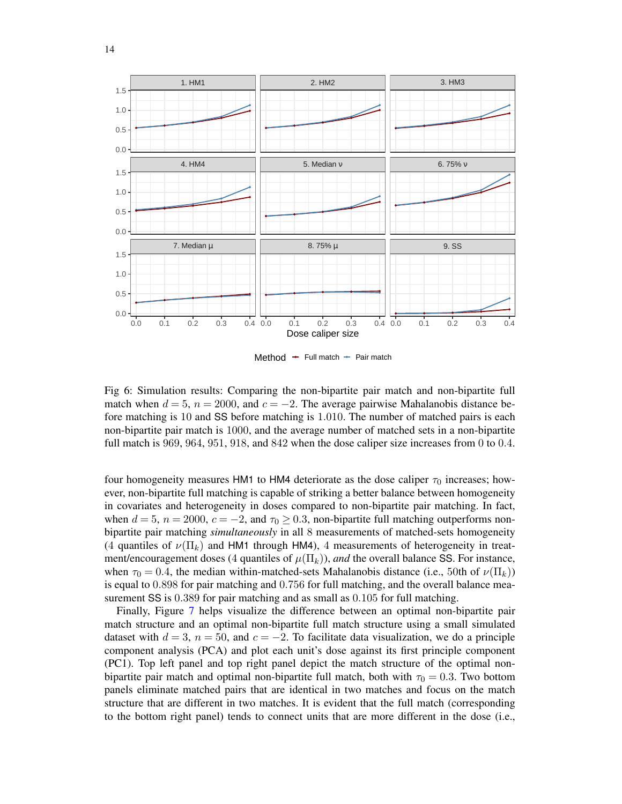<span id="page-13-0"></span>

Method  $+$  Full match  $+$  Pair match

Fig 6: Simulation results: Comparing the non-bipartite pair match and non-bipartite full match when  $d = 5$ ,  $n = 2000$ , and  $c = -2$ . The average pairwise Mahalanobis distance before matching is 10 and SS before matching is 1.010. The number of matched pairs is each non-bipartite pair match is 1000, and the average number of matched sets in a non-bipartite full match is 969, 964, 951, 918, and 842 when the dose caliper size increases from 0 to 0.4.

four homogeneity measures HM1 to HM4 deteriorate as the dose caliper  $\tau_0$  increases; however, non-bipartite full matching is capable of striking a better balance between homogeneity in covariates and heterogeneity in doses compared to non-bipartite pair matching. In fact, when  $d = 5$ ,  $n = 2000$ ,  $c = -2$ , and  $\tau_0 \ge 0.3$ , non-bipartite full matching outperforms nonbipartite pair matching *simultaneously* in all 8 measurements of matched-sets homogeneity (4 quantiles of  $\nu(\Pi_k)$  and HM1 through HM4), 4 measurements of heterogeneity in treatment/encouragement doses (4 quantiles of  $\mu(\Pi_k)$ ), *and* the overall balance SS. For instance, when  $\tau_0 = 0.4$ , the median within-matched-sets Mahalanobis distance (i.e., 50th of  $\nu(\Pi_k)$ ) is equal to 0.898 for pair matching and 0.756 for full matching, and the overall balance measurement SS is  $0.389$  for pair matching and as small as  $0.105$  for full matching.

Finally, Figure [7](#page-14-1) helps visualize the difference between an optimal non-bipartite pair match structure and an optimal non-bipartite full match structure using a small simulated dataset with  $d = 3$ ,  $n = 50$ , and  $c = -2$ . To facilitate data visualization, we do a principle component analysis (PCA) and plot each unit's dose against its first principle component (PC1). Top left panel and top right panel depict the match structure of the optimal nonbipartite pair match and optimal non-bipartite full match, both with  $\tau_0 = 0.3$ . Two bottom panels eliminate matched pairs that are identical in two matches and focus on the match structure that are different in two matches. It is evident that the full match (corresponding to the bottom right panel) tends to connect units that are more different in the dose (i.e.,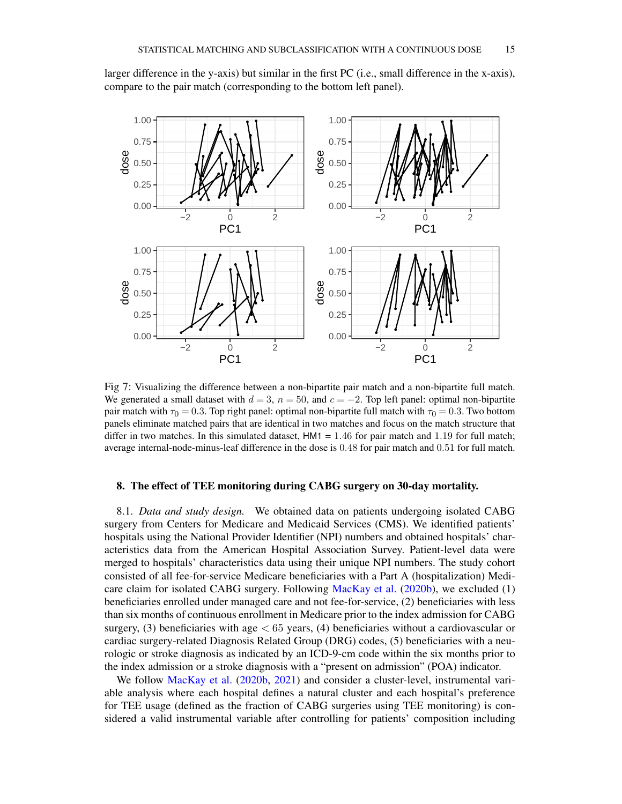larger difference in the y-axis) but similar in the first PC (i.e., small difference in the x-axis), compare to the pair match (corresponding to the bottom left panel).

<span id="page-14-1"></span>

Fig 7: Visualizing the difference between a non-bipartite pair match and a non-bipartite full match. We generated a small dataset with  $d = 3$ ,  $n = 50$ , and  $c = -2$ . Top left panel: optimal non-bipartite pair match with  $\tau_0 = 0.3$ . Top right panel: optimal non-bipartite full match with  $\tau_0 = 0.3$ . Two bottom panels eliminate matched pairs that are identical in two matches and focus on the match structure that differ in two matches. In this simulated dataset,  $HM1 = 1.46$  for pair match and 1.19 for full match; average internal-node-minus-leaf difference in the dose is 0.48 for pair match and 0.51 for full match.

#### <span id="page-14-0"></span>8. The effect of TEE monitoring during CABG surgery on 30-day mortality.

8.1. *Data and study design.* We obtained data on patients undergoing isolated CABG surgery from Centers for Medicare and Medicaid Services (CMS). We identified patients' hospitals using the National Provider Identifier (NPI) numbers and obtained hospitals' characteristics data from the American Hospital Association Survey. Patient-level data were merged to hospitals' characteristics data using their unique NPI numbers. The study cohort consisted of all fee-for-service Medicare beneficiaries with a Part A (hospitalization) Medicare claim for isolated CABG surgery. Following [MacKay et al.](#page-20-4) [\(2020b\)](#page-20-4), we excluded (1) beneficiaries enrolled under managed care and not fee-for-service, (2) beneficiaries with less than six months of continuous enrollment in Medicare prior to the index admission for CABG surgery,  $(3)$  beneficiaries with age  $\lt 65$  years,  $(4)$  beneficiaries without a cardiovascular or cardiac surgery-related Diagnosis Related Group (DRG) codes, (5) beneficiaries with a neurologic or stroke diagnosis as indicated by an ICD-9-cm code within the six months prior to the index admission or a stroke diagnosis with a "present on admission" (POA) indicator.

We follow [MacKay et al.](#page-20-4) [\(2020b,](#page-20-4) [2021\)](#page-20-5) and consider a cluster-level, instrumental variable analysis where each hospital defines a natural cluster and each hospital's preference for TEE usage (defined as the fraction of CABG surgeries using TEE monitoring) is considered a valid instrumental variable after controlling for patients' composition including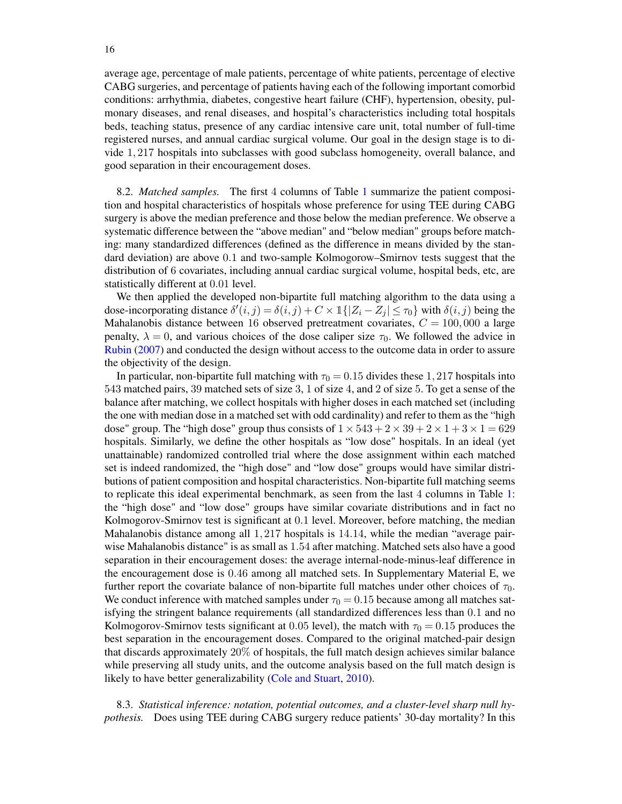average age, percentage of male patients, percentage of white patients, percentage of elective CABG surgeries, and percentage of patients having each of the following important comorbid conditions: arrhythmia, diabetes, congestive heart failure (CHF), hypertension, obesity, pulmonary diseases, and renal diseases, and hospital's characteristics including total hospitals beds, teaching status, presence of any cardiac intensive care unit, total number of full-time registered nurses, and annual cardiac surgical volume. Our goal in the design stage is to divide 1, 217 hospitals into subclasses with good subclass homogeneity, overall balance, and good separation in their encouragement doses.

8.2. *Matched samples.* The first 4 columns of Table [1](#page-16-0) summarize the patient composition and hospital characteristics of hospitals whose preference for using TEE during CABG surgery is above the median preference and those below the median preference. We observe a systematic difference between the "above median" and "below median" groups before matching: many standardized differences (defined as the difference in means divided by the standard deviation) are above 0.1 and two-sample Kolmogorow–Smirnov tests suggest that the distribution of 6 covariates, including annual cardiac surgical volume, hospital beds, etc, are statistically different at 0.01 level.

We then applied the developed non-bipartite full matching algorithm to the data using a dose-incorporating distance  $\delta'(i,j) = \delta(i,j) + C \times \mathbb{1}\{|Z_i - Z_j| \leq \tau_0\}$  with  $\delta(i,j)$  being the Mahalanobis distance between 16 observed pretreatment covariates,  $C = 100,000$  a large penalty,  $\lambda = 0$ , and various choices of the dose caliper size  $\tau_0$ . We followed the advice in [Rubin](#page-20-23) [\(2007\)](#page-20-23) and conducted the design without access to the outcome data in order to assure the objectivity of the design.

In particular, non-bipartite full matching with  $\tau_0 = 0.15$  divides these 1, 217 hospitals into 543 matched pairs, 39 matched sets of size 3, 1 of size 4, and 2 of size 5. To get a sense of the balance after matching, we collect hospitals with higher doses in each matched set (including the one with median dose in a matched set with odd cardinality) and refer to them as the "high dose" group. The "high dose" group thus consists of  $1 \times 543 + 2 \times 39 + 2 \times 1 + 3 \times 1 = 629$ hospitals. Similarly, we define the other hospitals as "low dose" hospitals. In an ideal (yet unattainable) randomized controlled trial where the dose assignment within each matched set is indeed randomized, the "high dose" and "low dose" groups would have similar distributions of patient composition and hospital characteristics. Non-bipartite full matching seems to replicate this ideal experimental benchmark, as seen from the last 4 columns in Table [1:](#page-16-0) the "high dose" and "low dose" groups have similar covariate distributions and in fact no Kolmogorov-Smirnov test is significant at 0.1 level. Moreover, before matching, the median Mahalanobis distance among all 1, 217 hospitals is 14.14, while the median "average pairwise Mahalanobis distance" is as small as 1.54 after matching. Matched sets also have a good separation in their encouragement doses: the average internal-node-minus-leaf difference in the encouragement dose is 0.46 among all matched sets. In Supplementary Material E, we further report the covariate balance of non-bipartite full matches under other choices of  $\tau_0$ . We conduct inference with matched samples under  $\tau_0 = 0.15$  because among all matches satisfying the stringent balance requirements (all standardized differences less than 0.1 and no Kolmogorov-Smirnov tests significant at 0.05 level), the match with  $\tau_0 = 0.15$  produces the best separation in the encouragement doses. Compared to the original matched-pair design that discards approximately 20% of hospitals, the full match design achieves similar balance while preserving all study units, and the outcome analysis based on the full match design is likely to have better generalizability [\(Cole and Stuart,](#page-19-8) [2010\)](#page-19-8).

8.3. *Statistical inference: notation, potential outcomes, and a cluster-level sharp null hypothesis.* Does using TEE during CABG surgery reduce patients' 30-day mortality? In this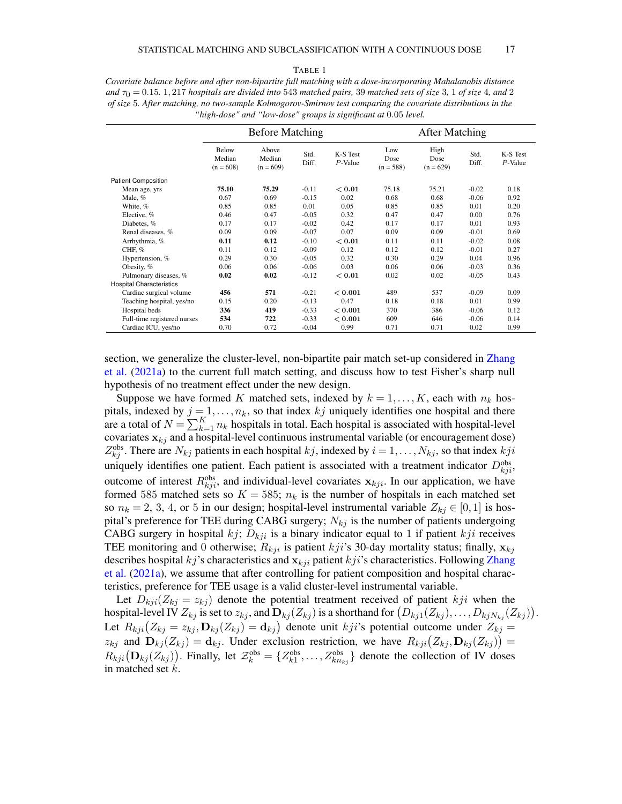#### TABLE 1

<span id="page-16-0"></span>

| Covariate balance before and after non-bipartite full matching with a dose-incorporating Mahalanobis distance            |
|--------------------------------------------------------------------------------------------------------------------------|
| and $\tau_0 = 0.15$ , 1, 217 hospitals are divided into 543 matched pairs, 39 matched sets of size 3, 1 of size 4, and 2 |
| of size 5. After matching, no two-sample Kolmogorov-Smirnov test comparing the covariate distributions in the            |
| "high-dose" and "low-dose" groups is significant at 0.05 level.                                                          |

|                                 | <b>Before Matching</b>         |                                |               |                        | <b>After Matching</b>      |                             |               |                        |
|---------------------------------|--------------------------------|--------------------------------|---------------|------------------------|----------------------------|-----------------------------|---------------|------------------------|
|                                 | Below<br>Median<br>$(n = 608)$ | Above<br>Median<br>$(n = 609)$ | Std.<br>Diff. | K-S Test<br>$P$ -Value | Low<br>Dose<br>$(n = 588)$ | High<br>Dose<br>$(n = 629)$ | Std.<br>Diff. | K-S Test<br>$P$ -Value |
| <b>Patient Composition</b>      |                                |                                |               |                        |                            |                             |               |                        |
| Mean age, yrs                   | 75.10                          | 75.29                          | $-0.11$       | < 0.01                 | 75.18                      | 75.21                       | $-0.02$       | 0.18                   |
| Male, %                         | 0.67                           | 0.69                           | $-0.15$       | 0.02                   | 0.68                       | 0.68                        | $-0.06$       | 0.92                   |
| White, %                        | 0.85                           | 0.85                           | 0.01          | 0.05                   | 0.85                       | 0.85                        | 0.01          | 0.20                   |
| Elective, %                     | 0.46                           | 0.47                           | $-0.05$       | 0.32                   | 0.47                       | 0.47                        | 0.00          | 0.76                   |
| Diabetes, %                     | 0.17                           | 0.17                           | $-0.02$       | 0.42                   | 0.17                       | 0.17                        | 0.01          | 0.93                   |
| Renal diseases, %               | 0.09                           | 0.09                           | $-0.07$       | 0.07                   | 0.09                       | 0.09                        | $-0.01$       | 0.69                   |
| Arrhythmia, %                   | 0.11                           | 0.12                           | $-0.10$       | < 0.01                 | 0.11                       | 0.11                        | $-0.02$       | 0.08                   |
| CHF, %                          | 0.11                           | 0.12                           | $-0.09$       | 0.12                   | 0.12                       | 0.12                        | $-0.01$       | 0.27                   |
| Hypertension, %                 | 0.29                           | 0.30                           | $-0.05$       | 0.32                   | 0.30                       | 0.29                        | 0.04          | 0.96                   |
| Obesity, %                      | 0.06                           | 0.06                           | $-0.06$       | 0.03                   | 0.06                       | 0.06                        | $-0.03$       | 0.36                   |
| Pulmonary diseases, %           | 0.02                           | 0.02                           | $-0.12$       | < 0.01                 | 0.02                       | 0.02                        | $-0.05$       | 0.43                   |
| <b>Hospital Characteristics</b> |                                |                                |               |                        |                            |                             |               |                        |
| Cardiac surgical volume         | 456                            | 571                            | $-0.21$       | < 0.001                | 489                        | 537                         | $-0.09$       | 0.09                   |
| Teaching hospital, yes/no       | 0.15                           | 0.20                           | $-0.13$       | 0.47                   | 0.18                       | 0.18                        | 0.01          | 0.99                   |
| Hospital beds                   | 336                            | 419                            | $-0.33$       | < 0.001                | 370                        | 386                         | $-0.06$       | 0.12                   |
| Full-time registered nurses     | 534                            | 722                            | $-0.33$       | < 0.001                | 609                        | 646                         | $-0.06$       | 0.14                   |
| Cardiac ICU, yes/no             | 0.70                           | 0.72                           | $-0.04$       | 0.99                   | 0.71                       | 0.71                        | 0.02          | 0.99                   |

section, we generalize the cluster-level, non-bipartite pair match set-up considered in [Zhang](#page-21-2) [et al.](#page-21-2) [\(2021a\)](#page-21-2) to the current full match setting, and discuss how to test Fisher's sharp null hypothesis of no treatment effect under the new design.

Suppose we have formed K matched sets, indexed by  $k = 1, ..., K$ , each with  $n_k$  hospitals, indexed by  $j = 1, \ldots, n_k$ , so that index kj uniquely identifies one hospital and there are a total of  $N = \sum_{k=1}^{K} n_k$  hospitals in total. Each hospital is associated with hospital-level covariates  $x_{ki}$  and a hospital-level continuous instrumental variable (or encouragement dose)  $Z_{kj}^{\text{obs}}$ . There are  $N_{kj}$  patients in each hospital  $kj$ , indexed by  $i = 1, \ldots, N_{kj}$ , so that index  $kji$ uniquely identifies one patient. Each patient is associated with a treatment indicator  $D_{kj}^{obs}$ , outcome of interest  $R_{kji}^{obs}$ , and individual-level covariates  $\mathbf{x}_{kji}$ . In our application, we have formed 585 matched sets so  $K = 585$ ;  $n_k$  is the number of hospitals in each matched set so  $n_k = 2, 3, 4$ , or 5 in our design; hospital-level instrumental variable  $Z_{ki} \in [0, 1]$  is hospital's preference for TEE during CABG surgery;  $N_{kj}$  is the number of patients undergoing CABG surgery in hospital  $kj$ ;  $D_{kji}$  is a binary indicator equal to 1 if patient kji receives TEE monitoring and 0 otherwise;  $R_{kji}$  is patient kji's 30-day mortality status; finally,  $\mathbf{x}_{ki}$ describes hospital kj's characteristics and  $\mathbf{x}_{kji}$  patient kji's characteristics. Following [Zhang](#page-21-2) [et al.](#page-21-2) [\(2021a\)](#page-21-2), we assume that after controlling for patient composition and hospital characteristics, preference for TEE usage is a valid cluster-level instrumental variable.

Let  $D_{kji}(Z_{kj} = z_{kj})$  denote the potential treatment received of patient kji when the hospital-level IV  $Z_{kj}$  is set to  $z_{kj}$ , and  $\mathbf{D}_{kj}(Z_{kj})$  is a shorthand for  $(D_{kj1}(Z_{kj}),\ldots,D_{kjN_{kj}}(Z_{kj})).$ Let  $R_{kji}(Z_{kj} = z_{kj}, \mathbf{D}_{kj}(Z_{kj}) = \mathbf{d}_{kj}$  denote unit  $kji$ 's potential outcome under  $Z_{kj} =$  $z_{kj}$  and  $\mathbf{D}_{kj}(Z_{kj}) = \mathbf{d}_{kj}$ . Under exclusion restriction, we have  $R_{kji}(Z_{kj}, \mathbf{D}_{kj}(Z_{kj})) =$  $R_{kji}(\mathbf{D}_{kj}(Z_{kj}))$ . Finally, let  $\mathcal{Z}_k^{\text{obs}} = \{Z_{k1}^{\text{obs}}, \ldots, Z_{kn_{kj}}^{\text{obs}}\}$  denote the collection of IV doses in matched set k.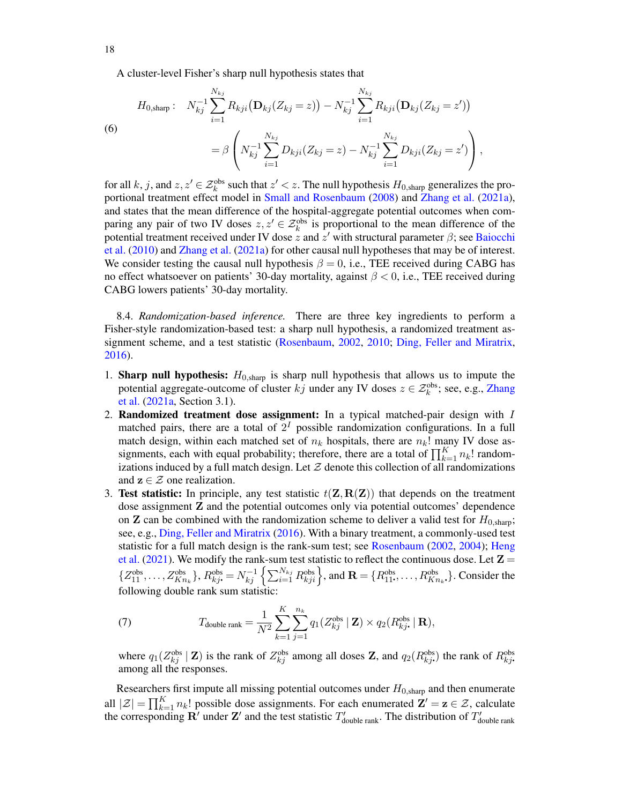A cluster-level Fisher's sharp null hypothesis states that

(6)  
\n
$$
H_{0,\text{sharp}}: \quad N_{kj}^{-1} \sum_{i=1}^{N_{kj}} R_{kji} (\mathbf{D}_{kj}(Z_{kj}=z)) - N_{kj}^{-1} \sum_{i=1}^{N_{kj}} R_{kji} (\mathbf{D}_{kj}(Z_{kj}=z'))
$$
\n
$$
= \beta \left( N_{kj}^{-1} \sum_{i=1}^{N_{kj}} D_{kji}(Z_{kj}=z) - N_{kj}^{-1} \sum_{i=1}^{N_{kj}} D_{kji}(Z_{kj}=z') \right),
$$

for all k, j, and  $z, z' \in \mathcal{Z}_k^{\text{obs}}$  such that  $z' < z$ . The null hypothesis  $H_{0,\text{sharp}}$  generalizes the proportional treatment effect model in [Small and Rosenbaum](#page-20-18) [\(2008\)](#page-20-18) and [Zhang et al.](#page-21-2) [\(2021a\)](#page-21-2), and states that the mean difference of the hospital-aggregate potential outcomes when comparing any pair of two IV doses  $z, z' \in \mathcal{Z}_k^{\text{obs}}$  is proportional to the mean difference of the potential treatment received under IV dose  $\frac{1}{z}$  and  $z'$  with structural parameter  $\beta$ ; see [Baiocchi](#page-19-1) [et al.](#page-19-1) [\(2010\)](#page-19-1) and [Zhang et al.](#page-21-2) [\(2021a\)](#page-21-2) for other causal null hypotheses that may be of interest. We consider testing the causal null hypothesis  $\beta = 0$ , i.e., TEE received during CABG has no effect whatsoever on patients' 30-day mortality, against  $\beta < 0$ , i.e., TEE received during CABG lowers patients' 30-day mortality.

8.4. *Randomization-based inference.* There are three key ingredients to perform a Fisher-style randomization-based test: a sharp null hypothesis, a randomized treatment assignment scheme, and a test statistic [\(Rosenbaum,](#page-20-24) [2002,](#page-20-24) [2010;](#page-20-25) [Ding, Feller and Miratrix,](#page-19-9) [2016\)](#page-19-9).

- 1. **Sharp null hypothesis:**  $H_{0,sharp}$  is sharp null hypothesis that allows us to impute the potential aggregate-outcome of cluster  $kj$  under any IV doses  $z \in \mathcal{Z}_k^{\text{obs}}$ ; see, e.g., [Zhang](#page-21-2) [et al.](#page-21-2) [\(2021a,](#page-21-2) Section 3.1).
- 2. Randomized treatment dose assignment: In a typical matched-pair design with I matched pairs, there are a total of  $2<sup>I</sup>$  possible randomization configurations. In a full match design, within each matched set of  $n_k$  hospitals, there are  $n_k!$  many IV dose assignments, each with equal probability; therefore, there are a total of  $\prod_{k=1}^{K} n_k!$  randomizations induced by a full match design. Let  $Z$  denote this collection of all randomizations and  $z \in \mathcal{Z}$  one realization.
- 3. Test statistic: In principle, any test statistic  $t(\mathbf{Z}, \mathbf{R}(\mathbf{Z}))$  that depends on the treatment dose assignment Z and the potential outcomes only via potential outcomes' dependence on **Z** can be combined with the randomization scheme to deliver a valid test for  $H_{0,\text{sharp}}$ ; see, e.g., [Ding, Feller and Miratrix](#page-19-9) [\(2016\)](#page-19-9). With a binary treatment, a commonly-used test statistic for a full match design is the rank-sum test; see [Rosenbaum](#page-20-24) [\(2002,](#page-20-24) [2004\)](#page-20-26); [Heng](#page-19-10) [et al.](#page-19-10) [\(2021\)](#page-19-10). We modify the rank-sum test statistic to reflect the continuous dose. Let  $\mathbf{Z} =$  $\{Z_{11}^{\text{obs}}, \ldots, Z_{Kn_k}^{\text{obs}}\}, R_{kj}^{\text{obs}} = N_{kj}^{-1} \left\{ \sum_{i=1}^{N_{kj}} R_{kji}^{\text{obs}} \right\}$ , and  $\mathbf{R} = \{R_{11}^{\text{obs}}, \ldots, R_{Kn_k}^{\text{obs}}\}$ . Consider the following double rank sum statistic:

(7) 
$$
T_{\text{double rank}} = \frac{1}{N^2} \sum_{k=1}^K \sum_{j=1}^{n_k} q_1(Z_{kj}^{\text{obs}} \mid \mathbf{Z}) \times q_2(R_{kj}^{\text{obs}} \mid \mathbf{R}),
$$

where  $q_1(Z_{kj}^{\text{obs}} | \mathbf{Z})$  is the rank of  $Z_{kj}^{\text{obs}}$  among all doses  $\mathbf{Z}$ , and  $q_2(R_{kj}^{\text{obs}})$  the rank of  $R_{kj}^{\text{obs}}$ . among all the responses.

Researchers first impute all missing potential outcomes under  $H_{0,\text{sharp}}$  and then enumerate all  $|\mathcal{Z}| = \prod_{k=1}^K n_k!$  possible dose assignments. For each enumerated  $\mathbf{Z}' = \mathbf{z} \in \mathcal{Z}$ , calculate the corresponding  $\mathbf{R}'$  under Z' and the test statistic  $T'_{\text{double rank}}$ . The distribution of  $T'_{\text{double rank}}$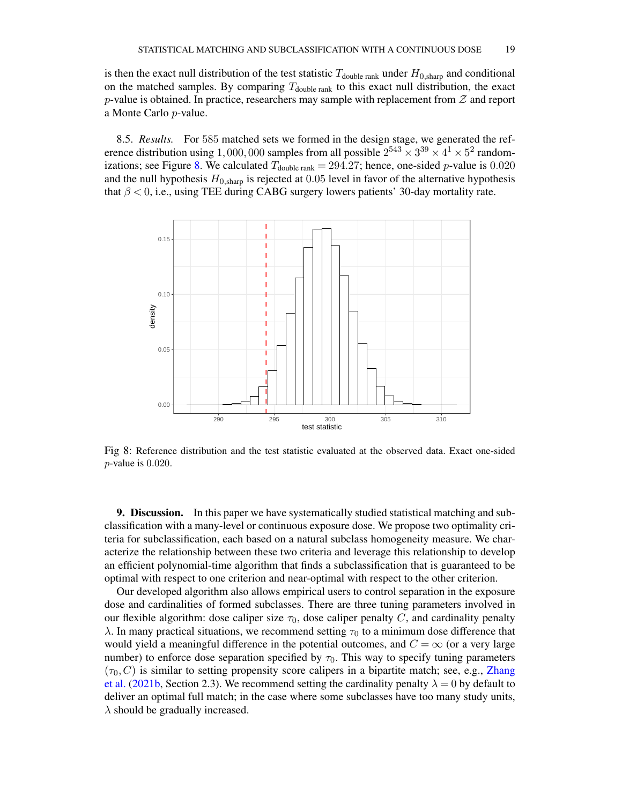is then the exact null distribution of the test statistic  $T_{\text{double rank}}$  under  $H_{0,\text{sharp}}$  and conditional on the matched samples. By comparing  $T_{\text{double rank}}$  to this exact null distribution, the exact p-value is obtained. In practice, researchers may sample with replacement from  $\mathcal Z$  and report a Monte Carlo p-value.

8.5. *Results.* For 585 matched sets we formed in the design stage, we generated the reference distribution using 1,000,000 samples from all possible  $2^{543} \times 3^{39} \times 4^1 \times 5^2$  random-izations; see Figure [8.](#page-18-1) We calculated  $T_{\text{double rank}} = 294.27$ ; hence, one-sided p-value is 0.020 and the null hypothesis  $H_{0,\text{sharp}}$  is rejected at 0.05 level in favor of the alternative hypothesis that  $\beta$  < 0, i.e., using TEE during CABG surgery lowers patients' 30-day mortality rate.

<span id="page-18-1"></span>

Fig 8: Reference distribution and the test statistic evaluated at the observed data. Exact one-sided p-value is 0.020.

<span id="page-18-0"></span>9. Discussion. In this paper we have systematically studied statistical matching and subclassification with a many-level or continuous exposure dose. We propose two optimality criteria for subclassification, each based on a natural subclass homogeneity measure. We characterize the relationship between these two criteria and leverage this relationship to develop an efficient polynomial-time algorithm that finds a subclassification that is guaranteed to be optimal with respect to one criterion and near-optimal with respect to the other criterion.

Our developed algorithm also allows empirical users to control separation in the exposure dose and cardinalities of formed subclasses. There are three tuning parameters involved in our flexible algorithm: dose caliper size  $\tau_0$ , dose caliper penalty C, and cardinality penalty λ. In many practical situations, we recommend setting  $τ_0$  to a minimum dose difference that would yield a meaningful difference in the potential outcomes, and  $C = \infty$  (or a very large number) to enforce dose separation specified by  $\tau_0$ . This way to specify tuning parameters  $(\tau_0, C)$  is similar to setting propensity score calipers in a bipartite match; see, e.g., [Zhang](#page-21-3) [et al.](#page-21-3) [\(2021b,](#page-21-3) Section 2.3). We recommend setting the cardinality penalty  $\lambda = 0$  by default to deliver an optimal full match; in the case where some subclasses have too many study units,  $\lambda$  should be gradually increased.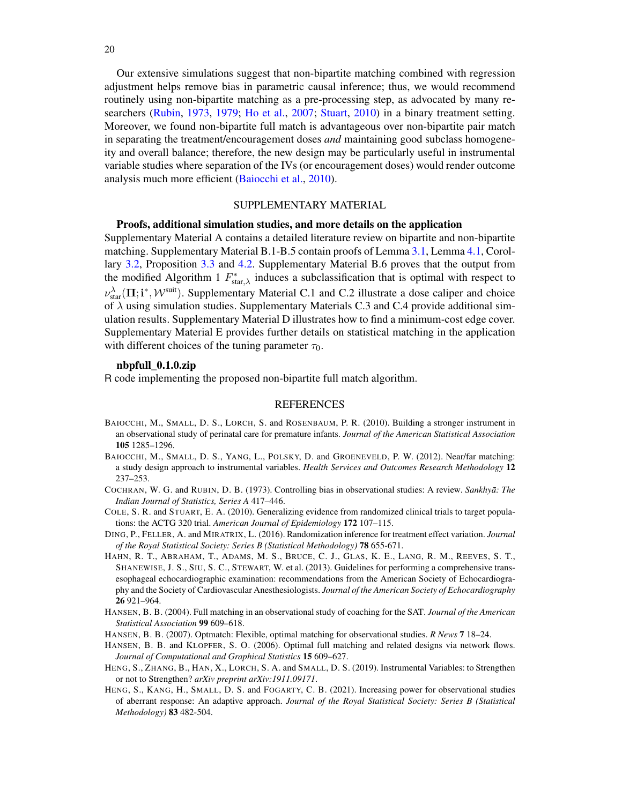Our extensive simulations suggest that non-bipartite matching combined with regression adjustment helps remove bias in parametric causal inference; thus, we would recommend routinely using non-bipartite matching as a pre-processing step, as advocated by many researchers [\(Rubin,](#page-20-20) [1973,](#page-20-20) [1979;](#page-20-21) [Ho et al.,](#page-20-22) [2007;](#page-20-22) [Stuart,](#page-20-13) [2010\)](#page-20-13) in a binary treatment setting. Moreover, we found non-bipartite full match is advantageous over non-bipartite pair match in separating the treatment/encouragement doses *and* maintaining good subclass homogeneity and overall balance; therefore, the new design may be particularly useful in instrumental variable studies where separation of the IVs (or encouragement doses) would render outcome analysis much more efficient [\(Baiocchi et al.,](#page-19-1) [2010\)](#page-19-1).

#### SUPPLEMENTARY MATERIAL

# Proofs, additional simulation studies, and more details on the application

Supplementary Material A contains a detailed literature review on bipartite and non-bipartite matching. Supplementary Material B.1-B.5 contain proofs of Lemma [3.1,](#page-5-3) Lemma [4.1,](#page-6-2) Corollary [3.2,](#page-5-0) Proposition [3.3](#page-5-1) and [4.2.](#page-7-2) Supplementary Material B.6 proves that the output from the modified Algorithm 1  $F_{\text{star},\lambda}^{*}$  induces a subclassification that is optimal with respect to  $\nu_{\text{star}}^{\lambda}(\Pi; \mathbf{i}^*, \mathcal{W}^{\text{suit}})$ . Supplementary Material C.1 and C.2 illustrate a dose caliper and choice of  $\lambda$  using simulation studies. Supplementary Materials C.3 and C.4 provide additional simulation results. Supplementary Material D illustrates how to find a minimum-cost edge cover. Supplementary Material E provides further details on statistical matching in the application with different choices of the tuning parameter  $\tau_0$ .

#### nbpfull\_0.1.0.zip

R code implementing the proposed non-bipartite full match algorithm.

#### **REFERENCES**

- <span id="page-19-1"></span>BAIOCCHI, M., SMALL, D. S., LORCH, S. and ROSENBAUM, P. R. (2010). Building a stronger instrument in an observational study of perinatal care for premature infants. *Journal of the American Statistical Association* 105 1285–1296.
- <span id="page-19-2"></span>BAIOCCHI, M., SMALL, D. S., YANG, L., POLSKY, D. and GROENEVELD, P. W. (2012). Near/far matching: a study design approach to instrumental variables. *Health Services and Outcomes Research Methodology* 12 237–253.
- <span id="page-19-4"></span>COCHRAN, W. G. and RUBIN, D. B. (1973). Controlling bias in observational studies: A review. *Sankhya: The ¯ Indian Journal of Statistics, Series A* 417–446.
- <span id="page-19-8"></span>COLE, S. R. and STUART, E. A. (2010). Generalizing evidence from randomized clinical trials to target populations: the ACTG 320 trial. *American Journal of Epidemiology* 172 107–115.
- <span id="page-19-9"></span>DING, P., FELLER, A. and MIRATRIX, L. (2016). Randomization inference for treatment effect variation. *Journal of the Royal Statistical Society: Series B (Statistical Methodology)* 78 655-671.
- <span id="page-19-0"></span>HAHN, R. T., ABRAHAM, T., ADAMS, M. S., BRUCE, C. J., GLAS, K. E., LANG, R. M., REEVES, S. T., SHANEWISE, J. S., SIU, S. C., STEWART, W. et al. (2013). Guidelines for performing a comprehensive transesophageal echocardiographic examination: recommendations from the American Society of Echocardiography and the Society of Cardiovascular Anesthesiologists. *Journal of the American Society of Echocardiography* 26 921–964.
- <span id="page-19-5"></span>HANSEN, B. B. (2004). Full matching in an observational study of coaching for the SAT. *Journal of the American Statistical Association* 99 609–618.
- <span id="page-19-7"></span>HANSEN, B. B. (2007). Optmatch: Flexible, optimal matching for observational studies. *R News* 7 18–24.
- <span id="page-19-6"></span>HANSEN, B. B. and KLOPFER, S. O. (2006). Optimal full matching and related designs via network flows. *Journal of Computational and Graphical Statistics* 15 609–627.
- <span id="page-19-3"></span>HENG, S., ZHANG, B., HAN, X., LORCH, S. A. and SMALL, D. S. (2019). Instrumental Variables: to Strengthen or not to Strengthen? *arXiv preprint arXiv:1911.09171*.
- <span id="page-19-10"></span>HENG, S., KANG, H., SMALL, D. S. and FOGARTY, C. B. (2021). Increasing power for observational studies of aberrant response: An adaptive approach. *Journal of the Royal Statistical Society: Series B (Statistical Methodology)* 83 482-504.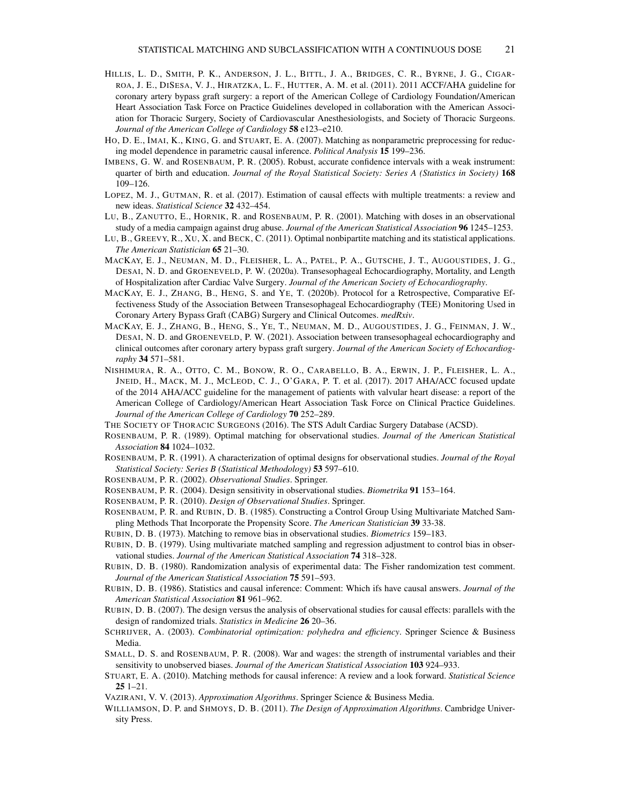- <span id="page-20-3"></span>HILLIS, L. D., SMITH, P. K., ANDERSON, J. L., BITTL, J. A., BRIDGES, C. R., BYRNE, J. G., CIGAR-ROA, J. E., DISESA, V. J., HIRATZKA, L. F., HUTTER, A. M. et al. (2011). 2011 ACCF/AHA guideline for coronary artery bypass graft surgery: a report of the American College of Cardiology Foundation/American Heart Association Task Force on Practice Guidelines developed in collaboration with the American Association for Thoracic Surgery, Society of Cardiovascular Anesthesiologists, and Society of Thoracic Surgeons. *Journal of the American College of Cardiology* 58 e123–e210.
- <span id="page-20-22"></span>HO, D. E., IMAI, K., KING, G. and STUART, E. A. (2007). Matching as nonparametric preprocessing for reducing model dependence in parametric causal inference. *Political Analysis* 15 199–236.
- <span id="page-20-17"></span>IMBENS, G. W. and ROSENBAUM, P. R. (2005). Robust, accurate confidence intervals with a weak instrument: quarter of birth and education. *Journal of the Royal Statistical Society: Series A (Statistics in Society)* 168 109–126.
- <span id="page-20-8"></span>LOPEZ, M. J., GUTMAN, R. et al. (2017). Estimation of causal effects with multiple treatments: a review and new ideas. *Statistical Science* 32 432–454.
- <span id="page-20-9"></span>LU, B., ZANUTTO, E., HORNIK, R. and ROSENBAUM, P. R. (2001). Matching with doses in an observational study of a media campaign against drug abuse. *Journal of the American Statistical Association* 96 1245–1253.
- <span id="page-20-10"></span>LU, B., GREEVY, R., XU, X. and BECK, C. (2011). Optimal nonbipartite matching and its statistical applications. *The American Statistician* 65 21–30.
- <span id="page-20-1"></span>MACKAY, E. J., NEUMAN, M. D., FLEISHER, L. A., PATEL, P. A., GUTSCHE, J. T., AUGOUSTIDES, J. G., DESAI, N. D. and GROENEVELD, P. W. (2020a). Transesophageal Echocardiography, Mortality, and Length of Hospitalization after Cardiac Valve Surgery. *Journal of the American Society of Echocardiography*.
- <span id="page-20-4"></span>MACKAY, E. J., ZHANG, B., HENG, S. and YE, T. (2020b). Protocol for a Retrospective, Comparative Effectiveness Study of the Association Between Transesophageal Echocardiography (TEE) Monitoring Used in Coronary Artery Bypass Graft (CABG) Surgery and Clinical Outcomes. *medRxiv*.
- <span id="page-20-5"></span>MACKAY, E. J., ZHANG, B., HENG, S., YE, T., NEUMAN, M. D., AUGOUSTIDES, J. G., FEINMAN, J. W., DESAI, N. D. and GROENEVELD, P. W. (2021). Association between transesophageal echocardiography and clinical outcomes after coronary artery bypass graft surgery. *Journal of the American Society of Echocardiography* 34 571–581.
- <span id="page-20-0"></span>NISHIMURA, R. A., OTTO, C. M., BONOW, R. O., CARABELLO, B. A., ERWIN, J. P., FLEISHER, L. A., JNEID, H., MACK, M. J., MCLEOD, C. J., O'GARA, P. T. et al. (2017). 2017 AHA/ACC focused update of the 2014 AHA/ACC guideline for the management of patients with valvular heart disease: a report of the American College of Cardiology/American Heart Association Task Force on Clinical Practice Guidelines. *Journal of the American College of Cardiology* 70 252–289.
- <span id="page-20-2"></span>THE SOCIETY OF THORACIC SURGEONS (2016). The STS Adult Cardiac Surgery Database (ACSD).
- <span id="page-20-11"></span>ROSENBAUM, P. R. (1989). Optimal matching for observational studies. *Journal of the American Statistical Association* 84 1024–1032.
- <span id="page-20-12"></span>ROSENBAUM, P. R. (1991). A characterization of optimal designs for observational studies. *Journal of the Royal Statistical Society: Series B (Statistical Methodology)* 53 597–610.
- <span id="page-20-24"></span>ROSENBAUM, P. R. (2002). *Observational Studies*. Springer.
- <span id="page-20-26"></span>ROSENBAUM, P. R. (2004). Design sensitivity in observational studies. *Biometrika* 91 153–164.
- <span id="page-20-25"></span>ROSENBAUM, P. R. (2010). *Design of Observational Studies*. Springer.
- <span id="page-20-19"></span>ROSENBAUM, P. R. and RUBIN, D. B. (1985). Constructing a Control Group Using Multivariate Matched Sampling Methods That Incorporate the Propensity Score. *The American Statistician* 39 33-38.
- <span id="page-20-20"></span>RUBIN, D. B. (1973). Matching to remove bias in observational studies. *Biometrics* 159–183.
- <span id="page-20-21"></span>RUBIN, D. B. (1979). Using multivariate matched sampling and regression adjustment to control bias in observational studies. *Journal of the American Statistical Association* 74 318–328.
- <span id="page-20-6"></span>RUBIN, D. B. (1980). Randomization analysis of experimental data: The Fisher randomization test comment. *Journal of the American Statistical Association* 75 591–593.
- <span id="page-20-7"></span>RUBIN, D. B. (1986). Statistics and causal inference: Comment: Which ifs have causal answers. *Journal of the American Statistical Association* 81 961–962.
- <span id="page-20-23"></span>RUBIN, D. B. (2007). The design versus the analysis of observational studies for causal effects: parallels with the design of randomized trials. *Statistics in Medicine* 26 20–36.
- <span id="page-20-16"></span>SCHRIJVER, A. (2003). *Combinatorial optimization: polyhedra and efficiency*. Springer Science & Business Media.
- <span id="page-20-18"></span>SMALL, D. S. and ROSENBAUM, P. R. (2008). War and wages: the strength of instrumental variables and their sensitivity to unobserved biases. *Journal of the American Statistical Association* 103 924–933.
- <span id="page-20-13"></span>STUART, E. A. (2010). Matching methods for causal inference: A review and a look forward. *Statistical Science* 25 1–21.
- <span id="page-20-14"></span>VAZIRANI, V. V. (2013). *Approximation Algorithms*. Springer Science & Business Media.
- <span id="page-20-15"></span>WILLIAMSON, D. P. and SHMOYS, D. B. (2011). *The Design of Approximation Algorithms*. Cambridge University Press.